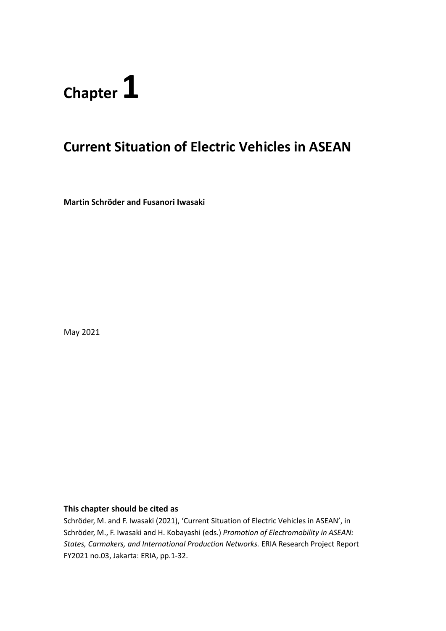# **Chapter 1**

# **Current Situation of Electric Vehicles in ASEAN**

**Martin Schröder and Fusanori Iwasaki**

May 2021

#### **This chapter should be cited as**

Schröder, M. and F. Iwasaki (2021), 'Current Situation of Electric Vehicles in ASEAN', in Schröder, M., F. Iwasaki and H. Kobayashi (eds.) *Promotion of Electromobility in ASEAN: States, Carmakers, and International Production Networks.* ERIA Research Project Report FY2021 no.03, Jakarta: ERIA, pp.1-32.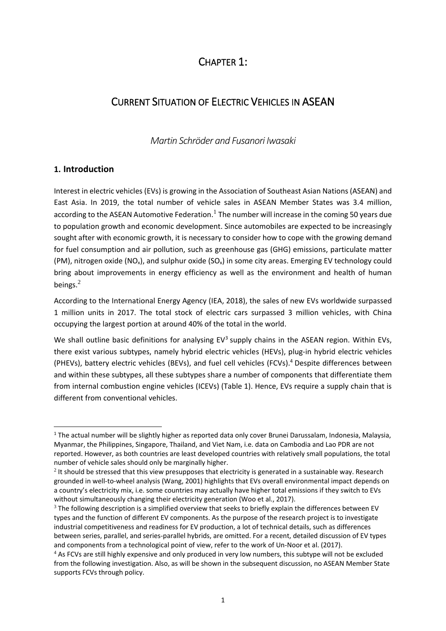### CHAPTER 1:

## CURRENT SITUATION OF ELECTRIC VEHICLES IN ASEAN

*Martin Schröder and Fusanori Iwasaki* 

#### **1. Introduction**

Interest in electric vehicles (EVs) is growing in the Association of Southeast Asian Nations (ASEAN) and East Asia. In 2019, the total number of vehicle sales in ASEAN Member States was 3.4 million, according to the ASEAN Automotive Federation.<sup>1</sup> The number will increase in the coming 50 years due to population growth and economic development. Since automobiles are expected to be increasingly sought after with economic growth, it is necessary to consider how to cope with the growing demand for fuel consumption and air pollution, such as greenhouse gas (GHG) emissions, particulate matter (PM), nitrogen oxide (NO<sub>x</sub>), and sulphur oxide (SO<sub>x</sub>) in some city areas. Emerging EV technology could bring about improvements in energy efficiency as well as the environment and health of human beings. $<sup>2</sup>$ </sup>

According to the International Energy Agency (IEA, 2018), the sales of new EVs worldwide surpassed 1 million units in 2017. The total stock of electric cars surpassed 3 million vehicles, with China occupying the largest portion at around 40% of the total in the world.

We shall outline basic definitions for analysing  $EV^3$  supply chains in the ASEAN region. Within EVs, there exist various subtypes, namely hybrid electric vehicles (HEVs), plug-in hybrid electric vehicles (PHEVs), battery electric vehicles (BEVs), and fuel cell vehicles (FCVs).<sup>4</sup> Despite differences between and within these subtypes, all these subtypes share a number of components that differentiate them from internal combustion engine vehicles (ICEVs) (Table 1). Hence, EVs require a supply chain that is different from conventional vehicles.

 $1$  The actual number will be slightly higher as reported data only cover Brunei Darussalam, Indonesia, Malaysia, Myanmar, the Philippines, Singapore, Thailand, and Viet Nam, i.e. data on Cambodia and Lao PDR are not reported. However, as both countries are least developed countries with relatively small populations, the total number of vehicle sales should only be marginally higher.

 $2$  It should be stressed that this view presupposes that electricity is generated in a sustainable way. Research grounded in well-to-wheel analysis (Wang, 2001) highlights that EVs overall environmental impact depends on a country's electricity mix, i.e. some countries may actually have higher total emissions if they switch to EVs without simultaneously changing their electricity generation (Woo et al., 2017).

<sup>&</sup>lt;sup>3</sup> The following description is a simplified overview that seeks to briefly explain the differences between EV types and the function of different EV components. As the purpose of the research project is to investigate industrial competitiveness and readiness for EV production, a lot of technical details, such as differences between series, parallel, and series-parallel hybrids, are omitted. For a recent, detailed discussion of EV types and components from a technological point of view, refer to the work of Un-Noor et al. (2017).

<sup>&</sup>lt;sup>4</sup> As FCVs are still highly expensive and only produced in very low numbers, this subtype will not be excluded from the following investigation. Also, as will be shown in the subsequent discussion, no ASEAN Member State supports FCVs through policy.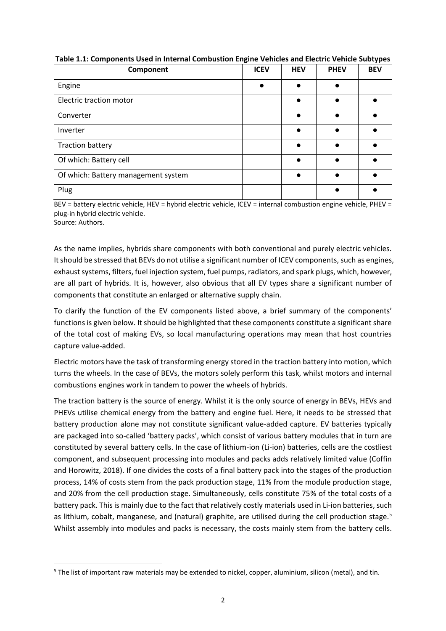| Component                           | <b>ICEV</b> | <b>HEV</b> | <b>PHEV</b> | <b>BEV</b> |
|-------------------------------------|-------------|------------|-------------|------------|
| Engine                              |             |            |             |            |
| Electric traction motor             |             |            |             |            |
| Converter                           |             |            |             |            |
| Inverter                            |             |            |             |            |
| <b>Traction battery</b>             |             |            |             |            |
| Of which: Battery cell              |             |            |             |            |
| Of which: Battery management system |             |            |             |            |
| Plug                                |             |            |             |            |

**Table 1.1: Components Used in Internal Combustion Engine Vehicles and Electric Vehicle Subtypes**

BEV = battery electric vehicle, HEV = hybrid electric vehicle, ICEV = internal combustion engine vehicle, PHEV = plug-in hybrid electric vehicle.

Source: Authors.

As the name implies, hybrids share components with both conventional and purely electric vehicles. It should be stressed that BEVs do not utilise a significant number of ICEV components, such as engines, exhaust systems, filters, fuel injection system, fuel pumps, radiators, and spark plugs, which, however, are all part of hybrids. It is, however, also obvious that all EV types share a significant number of components that constitute an enlarged or alternative supply chain.

To clarify the function of the EV components listed above, a brief summary of the components' functions is given below. It should be highlighted that these components constitute a significant share of the total cost of making EVs, so local manufacturing operations may mean that host countries capture value-added.

Electric motors have the task of transforming energy stored in the traction battery into motion, which turns the wheels. In the case of BEVs, the motors solely perform this task, whilst motors and internal combustions engines work in tandem to power the wheels of hybrids.

The traction battery is the source of energy. Whilst it is the only source of energy in BEVs, HEVs and PHEVs utilise chemical energy from the battery and engine fuel. Here, it needs to be stressed that battery production alone may not constitute significant value-added capture. EV batteries typically are packaged into so-called 'battery packs', which consist of various battery modules that in turn are constituted by several battery cells. In the case of lithium-ion (Li-ion) batteries, cells are the costliest component, and subsequent processing into modules and packs adds relatively limited value (Coffin and Horowitz, 2018). If one divides the costs of a final battery pack into the stages of the production process, 14% of costs stem from the pack production stage, 11% from the module production stage, and 20% from the cell production stage. Simultaneously, cells constitute 75% of the total costs of a battery pack. This is mainly due to the fact that relatively costly materials used in Li-ion batteries, such as lithium, cobalt, manganese, and (natural) graphite, are utilised during the cell production stage.<sup>5</sup> Whilst assembly into modules and packs is necessary, the costs mainly stem from the battery cells.

<sup>5</sup> The list of important raw materials may be extended to nickel, copper, aluminium, silicon (metal), and tin.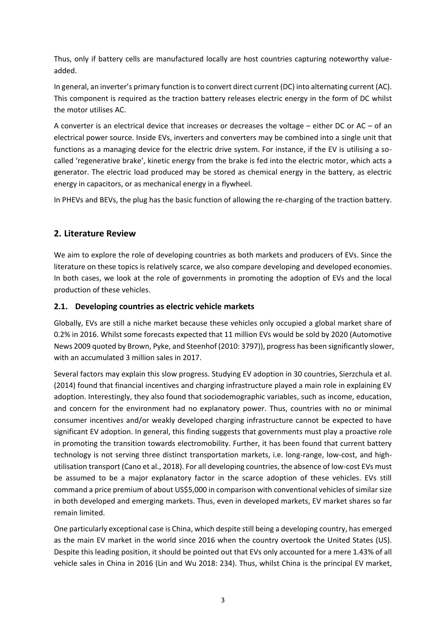Thus, only if battery cells are manufactured locally are host countries capturing noteworthy valueadded.

In general, an inverter's primary function is to convert direct current (DC) into alternating current (AC). This component is required as the traction battery releases electric energy in the form of DC whilst the motor utilises AC.

A converter is an electrical device that increases or decreases the voltage – either DC or AC – of an electrical power source. Inside EVs, inverters and converters may be combined into a single unit that functions as a managing device for the electric drive system. For instance, if the EV is utilising a socalled 'regenerative brake', kinetic energy from the brake is fed into the electric motor, which acts a generator. The electric load produced may be stored as chemical energy in the battery, as electric energy in capacitors, or as mechanical energy in a flywheel.

In PHEVs and BEVs, the plug has the basic function of allowing the re-charging of the traction battery.

#### **2. Literature Review**

We aim to explore the role of developing countries as both markets and producers of EVs. Since the literature on these topics is relatively scarce, we also compare developing and developed economies. In both cases, we look at the role of governments in promoting the adoption of EVs and the local production of these vehicles.

#### **2.1. Developing countries as electric vehicle markets**

Globally, EVs are still a niche market because these vehicles only occupied a global market share of 0.2% in 2016. Whilst some forecasts expected that 11 million EVs would be sold by 2020 (Automotive News 2009 quoted by Brown, Pyke, and Steenhof (2010: 3797)), progress has been significantly slower, with an accumulated 3 million sales in 2017.

Several factors may explain this slow progress. Studying EV adoption in 30 countries, Sierzchula et al. (2014) found that financial incentives and charging infrastructure played a main role in explaining EV adoption. Interestingly, they also found that sociodemographic variables, such as income, education, and concern for the environment had no explanatory power. Thus, countries with no or minimal consumer incentives and/or weakly developed charging infrastructure cannot be expected to have significant EV adoption. In general, this finding suggests that governments must play a proactive role in promoting the transition towards electromobility. Further, it has been found that current battery technology is not serving three distinct transportation markets, i.e. long-range, low-cost, and highutilisation transport (Cano et al., 2018). For all developing countries, the absence of low-cost EVs must be assumed to be a major explanatory factor in the scarce adoption of these vehicles. EVs still command a price premium of about US\$5,000 in comparison with conventional vehicles of similar size in both developed and emerging markets. Thus, even in developed markets, EV market shares so far remain limited.

One particularly exceptional case is China, which despite still being a developing country, has emerged as the main EV market in the world since 2016 when the country overtook the United States (US). Despite this leading position, it should be pointed out that EVs only accounted for a mere 1.43% of all vehicle sales in China in 2016 (Lin and Wu 2018: 234). Thus, whilst China is the principal EV market,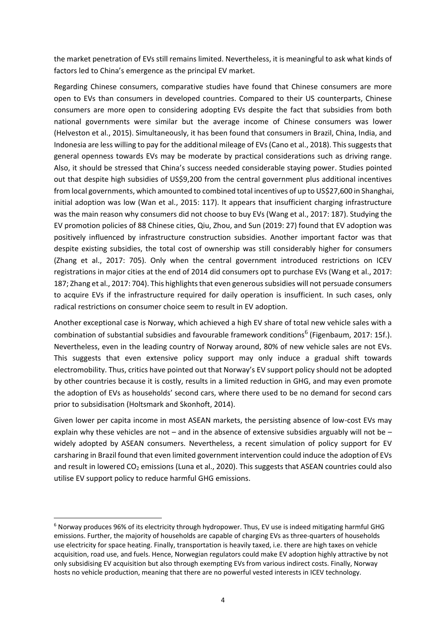the market penetration of EVs still remains limited. Nevertheless, it is meaningful to ask what kinds of factors led to China's emergence as the principal EV market.

Regarding Chinese consumers, comparative studies have found that Chinese consumers are more open to EVs than consumers in developed countries. Compared to their US counterparts, Chinese consumers are more open to considering adopting EVs despite the fact that subsidies from both national governments were similar but the average income of Chinese consumers was lower (Helveston et al., 2015). Simultaneously, it has been found that consumers in Brazil, China, India, and Indonesia are less willing to pay for the additional mileage of EVs (Cano et al., 2018). This suggests that general openness towards EVs may be moderate by practical considerations such as driving range. Also, it should be stressed that China's success needed considerable staying power. Studies pointed out that despite high subsidies of US\$9,200 from the central government plus additional incentives from local governments, which amounted to combined total incentives of up to US\$27,600 in Shanghai, initial adoption was low (Wan et al., 2015: 117). It appears that insufficient charging infrastructure was the main reason why consumers did not choose to buy EVs (Wang et al., 2017: 187). Studying the EV promotion policies of 88 Chinese cities, Qiu, Zhou, and Sun (2019: 27) found that EV adoption was positively influenced by infrastructure construction subsidies. Another important factor was that despite existing subsidies, the total cost of ownership was still considerably higher for consumers (Zhang et al., 2017: 705). Only when the central government introduced restrictions on ICEV registrations in major cities at the end of 2014 did consumers opt to purchase EVs (Wang et al., 2017: 187; Zhang et al., 2017: 704). This highlights that even generous subsidies will not persuade consumers to acquire EVs if the infrastructure required for daily operation is insufficient. In such cases, only radical restrictions on consumer choice seem to result in EV adoption.

Another exceptional case is Norway, which achieved a high EV share of total new vehicle sales with a combination of substantial subsidies and favourable framework conditions<sup>6</sup> (Figenbaum, 2017: 15f.). Nevertheless, even in the leading country of Norway around, 80% of new vehicle sales are not EVs. This suggests that even extensive policy support may only induce a gradual shift towards electromobility. Thus, critics have pointed out that Norway's EV support policy should not be adopted by other countries because it is costly, results in a limited reduction in GHG, and may even promote the adoption of EVs as households' second cars, where there used to be no demand for second cars prior to subsidisation (Holtsmark and Skonhoft, 2014).

Given lower per capita income in most ASEAN markets, the persisting absence of low-cost EVs may explain why these vehicles are not – and in the absence of extensive subsidies arguably will not be – widely adopted by ASEAN consumers. Nevertheless, a recent simulation of policy support for EV carsharing in Brazil found that even limited government intervention could induce the adoption of EVs and result in lowered CO<sub>2</sub> emissions (Luna et al., 2020). This suggests that ASEAN countries could also utilise EV support policy to reduce harmful GHG emissions.

<sup>6</sup> Norway produces 96% of its electricity through hydropower. Thus, EV use is indeed mitigating harmful GHG emissions. Further, the majority of households are capable of charging EVs as three-quarters of households use electricity for space heating. Finally, transportation is heavily taxed, i.e. there are high taxes on vehicle acquisition, road use, and fuels. Hence, Norwegian regulators could make EV adoption highly attractive by not only subsidising EV acquisition but also through exempting EVs from various indirect costs. Finally, Norway hosts no vehicle production, meaning that there are no powerful vested interests in ICEV technology.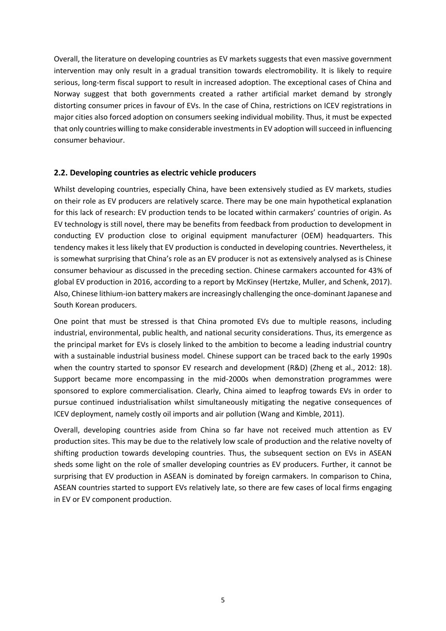Overall, the literature on developing countries as EV markets suggests that even massive government intervention may only result in a gradual transition towards electromobility. It is likely to require serious, long-term fiscal support to result in increased adoption. The exceptional cases of China and Norway suggest that both governments created a rather artificial market demand by strongly distorting consumer prices in favour of EVs. In the case of China, restrictions on ICEV registrations in major cities also forced adoption on consumers seeking individual mobility. Thus, it must be expected that only countries willing to make considerable investments in EV adoption will succeed in influencing consumer behaviour.

#### **2.2. Developing countries as electric vehicle producers**

Whilst developing countries, especially China, have been extensively studied as EV markets, studies on their role as EV producers are relatively scarce. There may be one main hypothetical explanation for this lack of research: EV production tends to be located within carmakers' countries of origin. As EV technology is still novel, there may be benefits from feedback from production to development in conducting EV production close to original equipment manufacturer (OEM) headquarters. This tendency makes it less likely that EV production is conducted in developing countries. Nevertheless, it is somewhat surprising that China's role as an EV producer is not as extensively analysed as is Chinese consumer behaviour as discussed in the preceding section. Chinese carmakers accounted for 43% of global EV production in 2016, according to a report by McKinsey (Hertzke, Muller, and Schenk, 2017). Also, Chinese lithium-ion battery makers are increasingly challenging the once-dominant Japanese and South Korean producers.

One point that must be stressed is that China promoted EVs due to multiple reasons, including industrial, environmental, public health, and national security considerations. Thus, its emergence as the principal market for EVs is closely linked to the ambition to become a leading industrial country with a sustainable industrial business model. Chinese support can be traced back to the early 1990s when the country started to sponsor EV research and development (R&D) (Zheng et al., 2012: 18). Support became more encompassing in the mid-2000s when demonstration programmes were sponsored to explore commercialisation. Clearly, China aimed to leapfrog towards EVs in order to pursue continued industrialisation whilst simultaneously mitigating the negative consequences of ICEV deployment, namely costly oil imports and air pollution (Wang and Kimble, 2011).

Overall, developing countries aside from China so far have not received much attention as EV production sites. This may be due to the relatively low scale of production and the relative novelty of shifting production towards developing countries. Thus, the subsequent section on EVs in ASEAN sheds some light on the role of smaller developing countries as EV producers. Further, it cannot be surprising that EV production in ASEAN is dominated by foreign carmakers. In comparison to China, ASEAN countries started to support EVs relatively late, so there are few cases of local firms engaging in EV or EV component production.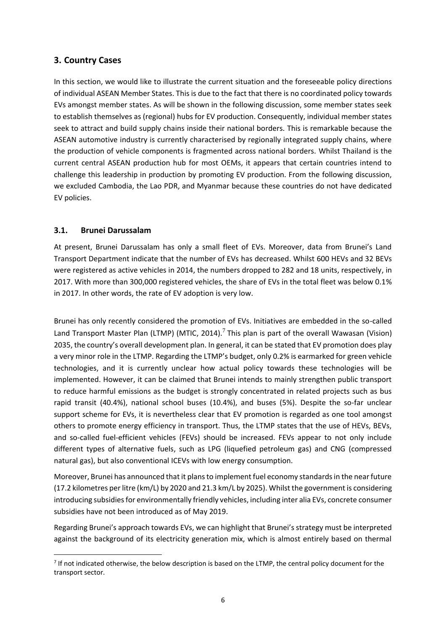#### **3. Country Cases**

In this section, we would like to illustrate the current situation and the foreseeable policy directions of individual ASEAN Member States. This is due to the fact that there is no coordinated policy towards EVs amongst member states. As will be shown in the following discussion, some member states seek to establish themselves as (regional) hubs for EV production. Consequently, individual member states seek to attract and build supply chains inside their national borders. This is remarkable because the ASEAN automotive industry is currently characterised by regionally integrated supply chains, where the production of vehicle components is fragmented across national borders. Whilst Thailand is the current central ASEAN production hub for most OEMs, it appears that certain countries intend to challenge this leadership in production by promoting EV production. From the following discussion, we excluded Cambodia, the Lao PDR, and Myanmar because these countries do not have dedicated EV policies.

#### **3.1. Brunei Darussalam**

At present, Brunei Darussalam has only a small fleet of EVs. Moreover, data from Brunei's Land Transport Department indicate that the number of EVs has decreased. Whilst 600 HEVs and 32 BEVs were registered as active vehicles in 2014, the numbers dropped to 282 and 18 units, respectively, in 2017. With more than 300,000 registered vehicles, the share of EVs in the total fleet was below 0.1% in 2017. In other words, the rate of EV adoption is very low.

Brunei has only recently considered the promotion of EVs. Initiatives are embedded in the so-called Land Transport Master Plan (LTMP) (MTIC, 2014).<sup>7</sup> This plan is part of the overall Wawasan (Vision) 2035, the country's overall development plan. In general, it can be stated that EV promotion does play a very minor role in the LTMP. Regarding the LTMP's budget, only 0.2% is earmarked for green vehicle technologies, and it is currently unclear how actual policy towards these technologies will be implemented. However, it can be claimed that Brunei intends to mainly strengthen public transport to reduce harmful emissions as the budget is strongly concentrated in related projects such as bus rapid transit (40.4%), national school buses (10.4%), and buses (5%). Despite the so-far unclear support scheme for EVs, it is nevertheless clear that EV promotion is regarded as one tool amongst others to promote energy efficiency in transport. Thus, the LTMP states that the use of HEVs, BEVs, and so-called fuel-efficient vehicles (FEVs) should be increased. FEVs appear to not only include different types of alternative fuels, such as LPG (liquefied petroleum gas) and CNG (compressed natural gas), but also conventional ICEVs with low energy consumption.

Moreover, Brunei has announced that it plans to implement fuel economy standards in the near future (17.2 kilometres per litre (km/L) by 2020 and 21.3 km/L by 2025). Whilst the government is considering introducing subsidies for environmentally friendly vehicles, including inter alia EVs, concrete consumer subsidies have not been introduced as of May 2019.

Regarding Brunei's approach towards EVs, we can highlight that Brunei's strategy must be interpreted against the background of its electricity generation mix, which is almost entirely based on thermal

<sup>&</sup>lt;sup>7</sup> If not indicated otherwise, the below description is based on the LTMP, the central policy document for the transport sector.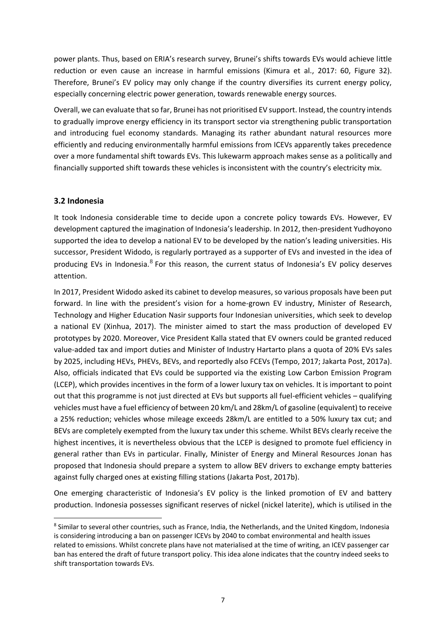power plants. Thus, based on ERIA's research survey, Brunei's shifts towards EVs would achieve little reduction or even cause an increase in harmful emissions (Kimura et al., 2017: 60, Figure 32). Therefore, Brunei's EV policy may only change if the country diversifies its current energy policy, especially concerning electric power generation, towards renewable energy sources.

Overall, we can evaluate that so far, Brunei has not prioritised EV support. Instead, the country intends to gradually improve energy efficiency in its transport sector via strengthening public transportation and introducing fuel economy standards. Managing its rather abundant natural resources more efficiently and reducing environmentally harmful emissions from ICEVs apparently takes precedence over a more fundamental shift towards EVs. This lukewarm approach makes sense as a politically and financially supported shift towards these vehicles is inconsistent with the country's electricity mix.

#### **3.2 Indonesia**

It took Indonesia considerable time to decide upon a concrete policy towards EVs. However, EV development captured the imagination of Indonesia's leadership. In 2012, then-president Yudhoyono supported the idea to develop a national EV to be developed by the nation's leading universities. His successor, President Widodo, is regularly portrayed as a supporter of EVs and invested in the idea of producing EVs in Indonesia. <sup>8</sup> For this reason, the current status of Indonesia's EV policy deserves attention.

In 2017, President Widodo asked its cabinet to develop measures, so various proposals have been put forward. In line with the president's vision for a home-grown EV industry, Minister of Research, Technology and Higher Education Nasir supports four Indonesian universities, which seek to develop a national EV (Xinhua, 2017). The minister aimed to start the mass production of developed EV prototypes by 2020. Moreover, Vice President Kalla stated that EV owners could be granted reduced value-added tax and import duties and Minister of Industry Hartarto plans a quota of 20% EVs sales by 2025, including HEVs, PHEVs, BEVs, and reportedly also FCEVs (Tempo, 2017; Jakarta Post, 2017a). Also, officials indicated that EVs could be supported via the existing Low Carbon Emission Program (LCEP), which provides incentives in the form of a lower luxury tax on vehicles. It is important to point out that this programme is not just directed at EVs but supports all fuel-efficient vehicles – qualifying vehicles must have a fuel efficiency of between 20 km/L and 28km/L of gasoline (equivalent) to receive a 25% reduction; vehicles whose mileage exceeds 28km/L are entitled to a 50% luxury tax cut; and BEVs are completely exempted from the luxury tax under this scheme. Whilst BEVs clearly receive the highest incentives, it is nevertheless obvious that the LCEP is designed to promote fuel efficiency in general rather than EVs in particular. Finally, Minister of Energy and Mineral Resources Jonan has proposed that Indonesia should prepare a system to allow BEV drivers to exchange empty batteries against fully charged ones at existing filling stations (Jakarta Post, 2017b).

One emerging characteristic of Indonesia's EV policy is the linked promotion of EV and battery production. Indonesia possesses significant reserves of nickel (nickel laterite), which is utilised in the

<sup>&</sup>lt;sup>8</sup> Similar to several other countries, such as France, India, the Netherlands, and the United Kingdom, Indonesia is considering introducing a ban on passenger ICEVs by 2040 to combat environmental and health issues related to emissions. Whilst concrete plans have not materialised at the time of writing, an ICEV passenger car ban has entered the draft of future transport policy. This idea alone indicates that the country indeed seeks to shift transportation towards EVs.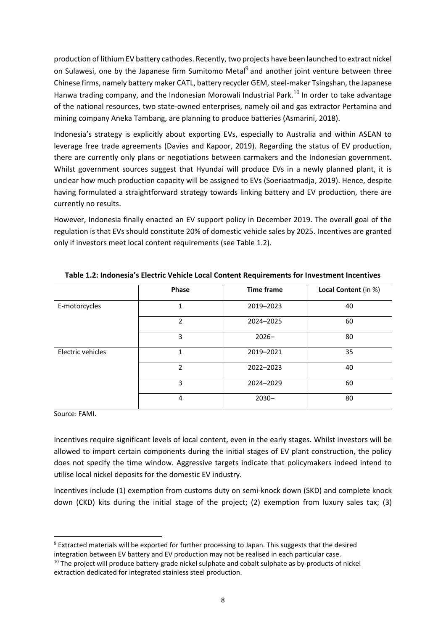production of lithium EV battery cathodes. Recently, two projects have been launched to extract nickel on Sulawesi, one by the Japanese firm Sumitomo Metal<sup>9</sup> and another joint venture between three Chinese firms, namely battery maker CATL, battery recycler GEM, steel-maker Tsingshan, the Japanese Hanwa trading company, and the Indonesian Morowali Industrial Park.<sup>10</sup> In order to take advantage of the national resources, two state-owned enterprises, namely oil and gas extractor Pertamina and mining company Aneka Tambang, are planning to produce batteries (Asmarini, 2018).

Indonesia's strategy is explicitly about exporting EVs, especially to Australia and within ASEAN to leverage free trade agreements (Davies and Kapoor, 2019). Regarding the status of EV production, there are currently only plans or negotiations between carmakers and the Indonesian government. Whilst government sources suggest that Hyundai will produce EVs in a newly planned plant, it is unclear how much production capacity will be assigned to EVs (Soeriaatmadja, 2019). Hence, despite having formulated a straightforward strategy towards linking battery and EV production, there are currently no results.

However, Indonesia finally enacted an EV support policy in December 2019. The overall goal of the regulation is that EVs should constitute 20% of domestic vehicle sales by 2025. Incentives are granted only if investors meet local content requirements (see Table 1.2).

|                   | Phase          | <b>Time frame</b> | Local Content (in %) |
|-------------------|----------------|-------------------|----------------------|
| E-motorcycles     |                | 2019-2023         | 40                   |
|                   | $\overline{2}$ | 2024-2025         | 60                   |
|                   | 3              | $2026 -$          | 80                   |
| Electric vehicles | 1              | 2019-2021         | 35                   |
|                   | $\mathcal{P}$  | 2022-2023         | 40                   |
|                   | 3              | 2024-2029         | 60                   |
|                   | 4              | $2030 -$          | 80                   |

**Table 1.2: Indonesia's Electric Vehicle Local Content Requirements for Investment Incentives**

Source: FAMI.

Incentives require significant levels of local content, even in the early stages. Whilst investors will be allowed to import certain components during the initial stages of EV plant construction, the policy does not specify the time window. Aggressive targets indicate that policymakers indeed intend to utilise local nickel deposits for the domestic EV industry.

Incentives include (1) exemption from customs duty on semi-knock down (SKD) and complete knock down (CKD) kits during the initial stage of the project; (2) exemption from luxury sales tax; (3)

<sup>9</sup> Extracted materials will be exported for further processing to Japan. This suggests that the desired integration between EV battery and EV production may not be realised in each particular case.

 $10$  The project will produce battery-grade nickel sulphate and cobalt sulphate as by-products of nickel extraction dedicated for integrated stainless steel production.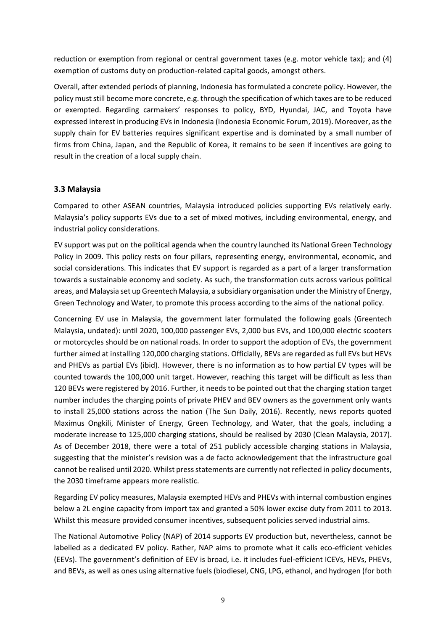reduction or exemption from regional or central government taxes (e.g. motor vehicle tax); and (4) exemption of customs duty on production-related capital goods, amongst others.

Overall, after extended periods of planning, Indonesia has formulated a concrete policy. However, the policy must still become more concrete, e.g. through the specification of which taxes are to be reduced or exempted. Regarding carmakers' responses to policy, BYD, Hyundai, JAC, and Toyota have expressed interest in producing EVs in Indonesia (Indonesia Economic Forum, 2019). Moreover, as the supply chain for EV batteries requires significant expertise and is dominated by a small number of firms from China, Japan, and the Republic of Korea, it remains to be seen if incentives are going to result in the creation of a local supply chain.

#### **3.3 Malaysia**

Compared to other ASEAN countries, Malaysia introduced policies supporting EVs relatively early. Malaysia's policy supports EVs due to a set of mixed motives, including environmental, energy, and industrial policy considerations.

EV support was put on the political agenda when the country launched its National Green Technology Policy in 2009. This policy rests on four pillars, representing energy, environmental, economic, and social considerations. This indicates that EV support is regarded as a part of a larger transformation towards a sustainable economy and society. As such, the transformation cuts across various political areas, and Malaysia set up Greentech Malaysia, a subsidiary organisation under the Ministry of Energy, Green Technology and Water, to promote this process according to the aims of the national policy.

Concerning EV use in Malaysia, the government later formulated the following goals (Greentech Malaysia, undated): until 2020, 100,000 passenger EVs, 2,000 bus EVs, and 100,000 electric scooters or motorcycles should be on national roads. In order to support the adoption of EVs, the government further aimed at installing 120,000 charging stations. Officially, BEVs are regarded as full EVs but HEVs and PHEVs as partial EVs (ibid). However, there is no information as to how partial EV types will be counted towards the 100,000 unit target. However, reaching this target will be difficult as less than 120 BEVs were registered by 2016. Further, it needs to be pointed out that the charging station target number includes the charging points of private PHEV and BEV owners as the government only wants to install 25,000 stations across the nation (The Sun Daily, 2016). Recently, news reports quoted Maximus Ongkili, Minister of Energy, Green Technology, and Water, that the goals, including a moderate increase to 125,000 charging stations, should be realised by 2030 (Clean Malaysia, 2017). As of December 2018, there were a total of 251 publicly accessible charging stations in Malaysia, suggesting that the minister's revision was a de facto acknowledgement that the infrastructure goal cannot be realised until 2020. Whilst press statements are currently not reflected in policy documents, the 2030 timeframe appears more realistic.

Regarding EV policy measures, Malaysia exempted HEVs and PHEVs with internal combustion engines below a 2L engine capacity from import tax and granted a 50% lower excise duty from 2011 to 2013. Whilst this measure provided consumer incentives, subsequent policies served industrial aims.

The National Automotive Policy (NAP) of 2014 supports EV production but, nevertheless, cannot be labelled as a dedicated EV policy. Rather, NAP aims to promote what it calls eco-efficient vehicles (EEVs). The government's definition of EEV is broad, i.e. it includes fuel-efficient ICEVs, HEVs, PHEVs, and BEVs, as well as ones using alternative fuels (biodiesel, CNG, LPG, ethanol, and hydrogen (for both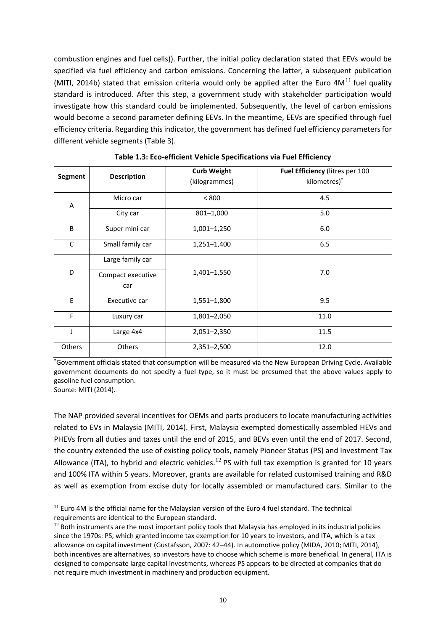combustion engines and fuel cells)). Further, the initial policy declaration stated that EEVs would be specified via fuel efficiency and carbon emissions. Concerning the latter, a subsequent publication (MITI, 2014b) stated that emission criteria would only be applied after the Euro  $4M^{11}$  fuel quality standard is introduced. After this step, a government study with stakeholder participation would investigate how this standard could be implemented. Subsequently, the level of carbon emissions would become a second parameter defining EEVs. In the meantime, EEVs are specified through fuel efficiency criteria. Regarding this indicator, the government has defined fuel efficiency parameters for different vehicle segments (Table 3).

| <b>Segment</b> | <b>Description</b>       | <b>Curb Weight</b><br>(kilogrammes) | Fuel Efficiency (litres per 100<br>kilometres)* |
|----------------|--------------------------|-------------------------------------|-------------------------------------------------|
| Α              | Micro car                | < 800                               | 4.5                                             |
|                | City car                 | $801 - 1,000$                       | 5.0                                             |
| B              | Super mini car           | $1,001 - 1,250$                     | 6.0                                             |
| C              | Small family car         | $1,251 - 1,400$                     | 6.5                                             |
|                | Large family car         |                                     |                                                 |
| D              | Compact executive<br>car | $1,401 - 1,550$                     | 7.0                                             |
| E              | Executive car            | 1,551-1,800                         | 9.5                                             |
| F              | Luxury car               | 1,801-2,050                         | 11.0                                            |
| T              | Large 4x4                | 2,051-2,350                         | 11.5                                            |
| <b>Others</b>  | Others                   | $2,351 - 2,500$                     | 12.0                                            |

**Table 1.3: Eco-efficient Vehicle Specifications via Fuel Efficiency**

\*Government officials stated that consumption will be measured via the New European Driving Cycle. Available government documents do not specify a fuel type, so it must be presumed that the above values apply to gasoline fuel consumption.

Source: MITI (2014).

The NAP provided several incentives for OEMs and parts producers to locate manufacturing activities related to EVs in Malaysia (MITI, 2014). First, Malaysia exempted domestically assembled HEVs and PHEVs from all duties and taxes until the end of 2015, and BEVs even until the end of 2017. Second, the country extended the use of existing policy tools, namely Pioneer Status (PS) and Investment Tax Allowance (ITA), to hybrid and electric vehicles.<sup>12</sup> PS with full tax exemption is granted for 10 years and 100% ITA within 5 years. Moreover, grants are available for related customised training and R&D as well as exemption from excise duty for locally assembled or manufactured cars. Similar to the

 $11$  Euro 4M is the official name for the Malaysian version of the Euro 4 fuel standard. The technical requirements are identical to the European standard.

 $12$  Both instruments are the most important policy tools that Malaysia has employed in its industrial policies since the 1970s: PS, which granted income tax exemption for 10 years to investors, and ITA, which is a tax allowance on capital investment (Gustafsson, 2007: 42–44). In automotive policy (MIDA, 2010; MITI, 2014), both incentives are alternatives, so investors have to choose which scheme is more beneficial. In general, ITA is designed to compensate large capital investments, whereas PS appears to be directed at companies that do not require much investment in machinery and production equipment.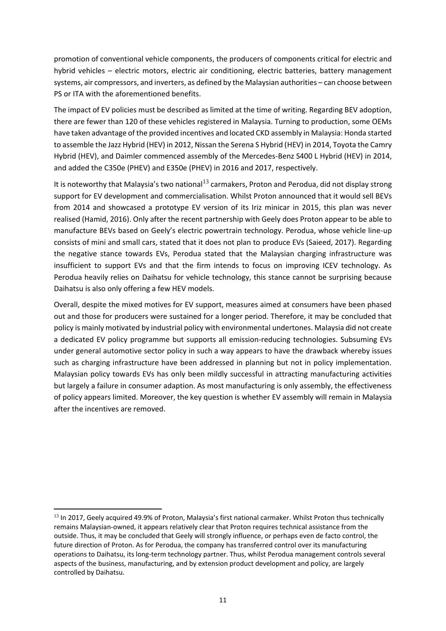promotion of conventional vehicle components, the producers of components critical for electric and hybrid vehicles – electric motors, electric air conditioning, electric batteries, battery management systems, air compressors, and inverters, as defined by the Malaysian authorities – can choose between PS or ITA with the aforementioned benefits.

The impact of EV policies must be described as limited at the time of writing. Regarding BEV adoption, there are fewer than 120 of these vehicles registered in Malaysia. Turning to production, some OEMs have taken advantage of the provided incentives and located CKD assembly in Malaysia: Honda started to assemble the Jazz Hybrid (HEV) in 2012, Nissan the Serena S Hybrid (HEV) in 2014, Toyota the Camry Hybrid (HEV), and Daimler commenced assembly of the Mercedes-Benz S400 L Hybrid (HEV) in 2014, and added the C350e (PHEV) and E350e (PHEV) in 2016 and 2017, respectively.

It is noteworthy that Malaysia's two national<sup>13</sup> carmakers, Proton and Perodua, did not display strong support for EV development and commercialisation. Whilst Proton announced that it would sell BEVs from 2014 and showcased a prototype EV version of its Iriz minicar in 2015, this plan was never realised (Hamid, 2016). Only after the recent partnership with Geely does Proton appear to be able to manufacture BEVs based on Geely's electric powertrain technology. Perodua, whose vehicle line-up consists of mini and small cars, stated that it does not plan to produce EVs (Saieed, 2017). Regarding the negative stance towards EVs, Perodua stated that the Malaysian charging infrastructure was insufficient to support EVs and that the firm intends to focus on improving ICEV technology. As Perodua heavily relies on Daihatsu for vehicle technology, this stance cannot be surprising because Daihatsu is also only offering a few HEV models.

Overall, despite the mixed motives for EV support, measures aimed at consumers have been phased out and those for producers were sustained for a longer period. Therefore, it may be concluded that policy is mainly motivated by industrial policy with environmental undertones. Malaysia did not create a dedicated EV policy programme but supports all emission-reducing technologies. Subsuming EVs under general automotive sector policy in such a way appears to have the drawback whereby issues such as charging infrastructure have been addressed in planning but not in policy implementation. Malaysian policy towards EVs has only been mildly successful in attracting manufacturing activities but largely a failure in consumer adaption. As most manufacturing is only assembly, the effectiveness of policy appears limited. Moreover, the key question is whether EV assembly will remain in Malaysia after the incentives are removed.

<sup>&</sup>lt;sup>13</sup> In 2017, Geely acquired 49.9% of Proton, Malaysia's first national carmaker. Whilst Proton thus technically remains Malaysian-owned, it appears relatively clear that Proton requires technical assistance from the outside. Thus, it may be concluded that Geely will strongly influence, or perhaps even de facto control, the future direction of Proton. As for Perodua, the company has transferred control over its manufacturing operations to Daihatsu, its long-term technology partner. Thus, whilst Perodua management controls several aspects of the business, manufacturing, and by extension product development and policy, are largely controlled by Daihatsu.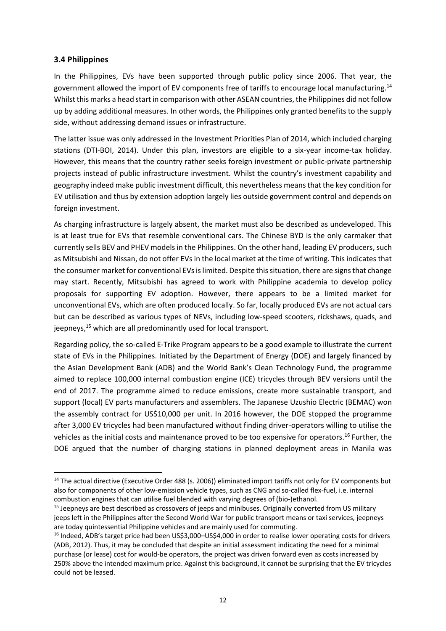#### **3.4 Philippines**

In the Philippines, EVs have been supported through public policy since 2006. That year, the government allowed the import of EV components free of tariffs to encourage local manufacturing.<sup>14</sup> Whilst this marks a head start in comparison with other ASEAN countries, the Philippines did not follow up by adding additional measures. In other words, the Philippines only granted benefits to the supply side, without addressing demand issues or infrastructure.

The latter issue was only addressed in the Investment Priorities Plan of 2014, which included charging stations (DTI-BOI, 2014). Under this plan, investors are eligible to a six-year income-tax holiday. However, this means that the country rather seeks foreign investment or public-private partnership projects instead of public infrastructure investment. Whilst the country's investment capability and geography indeed make public investment difficult, this nevertheless means that the key condition for EV utilisation and thus by extension adoption largely lies outside government control and depends on foreign investment.

As charging infrastructure is largely absent, the market must also be described as undeveloped. This is at least true for EVs that resemble conventional cars. The Chinese BYD is the only carmaker that currently sells BEV and PHEV models in the Philippines. On the other hand, leading EV producers, such as Mitsubishi and Nissan, do not offer EVs in the local market at the time of writing. This indicates that the consumer market for conventional EVs is limited. Despite this situation, there are signs that change may start. Recently, Mitsubishi has agreed to work with Philippine academia to develop policy proposals for supporting EV adoption. However, there appears to be a limited market for unconventional EVs, which are often produced locally. So far, locally produced EVs are not actual cars but can be described as various types of NEVs, including low-speed scooters, rickshaws, quads, and jeepneys, <sup>15</sup> which are all predominantly used for local transport.

Regarding policy, the so-called E-Trike Program appears to be a good example to illustrate the current state of EVs in the Philippines. Initiated by the Department of Energy (DOE) and largely financed by the Asian Development Bank (ADB) and the World Bank's Clean Technology Fund, the programme aimed to replace 100,000 internal combustion engine (ICE) tricycles through BEV versions until the end of 2017. The programme aimed to reduce emissions, create more sustainable transport, and support (local) EV parts manufacturers and assemblers. The Japanese Uzushio Electric (BEMAC) won the assembly contract for US\$10,000 per unit. In 2016 however, the DOE stopped the programme after 3,000 EV tricycles had been manufactured without finding driver-operators willing to utilise the vehicles as the initial costs and maintenance proved to be too expensive for operators.<sup>16</sup> Further, the DOE argued that the number of charging stations in planned deployment areas in Manila was

<sup>&</sup>lt;sup>14</sup> The actual directive (Executive Order 488 (s. 2006)) eliminated import tariffs not only for EV components but also for components of other low-emission vehicle types, such as CNG and so-called flex-fuel, i.e. internal combustion engines that can utilise fuel blended with varying degrees of (bio-)ethanol.

<sup>&</sup>lt;sup>15</sup> Jeepneys are best described as crossovers of jeeps and minibuses. Originally converted from US military jeeps left in the Philippines after the Second World War for public transport means or taxi services, jeepneys are today quintessential Philippine vehicles and are mainly used for commuting.

<sup>&</sup>lt;sup>16</sup> Indeed, ADB's target price had been US\$3,000–US\$4,000 in order to realise lower operating costs for drivers (ADB, 2012). Thus, it may be concluded that despite an initial assessment indicating the need for a minimal purchase (or lease) cost for would-be operators, the project was driven forward even as costs increased by 250% above the intended maximum price. Against this background, it cannot be surprising that the EV tricycles could not be leased.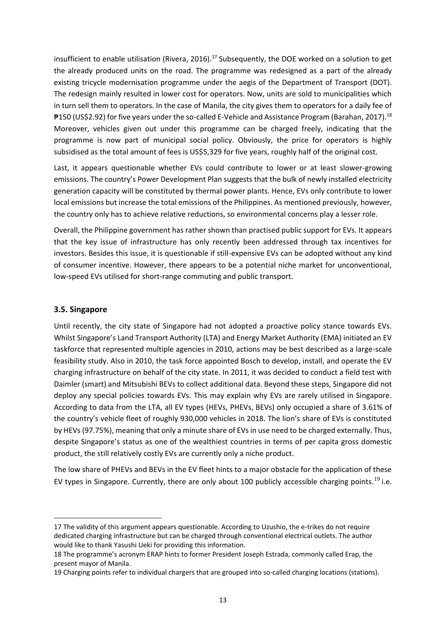insufficient to enable utilisation (Rivera, 2016).<sup>17</sup> Subsequently, the DOE worked on a solution to get the already produced units on the road. The programme was redesigned as a part of the already existing tricycle modernisation programme under the aegis of the Department of Transport (DOT). The redesign mainly resulted in lower cost for operators. Now, units are sold to municipalities which in turn sell them to operators. In the case of Manila, the city gives them to operators for a daily fee of ₱150 (US\$2.92) for five years under the so-called E-Vehicle and Assistance Program (Barahan, 2017).<sup>18</sup> Moreover, vehicles given out under this programme can be charged freely, indicating that the programme is now part of municipal social policy. Obviously, the price for operators is highly subsidised as the total amount of fees is US\$5,329 for five years, roughly half of the original cost.

Last, it appears questionable whether EVs could contribute to lower or at least slower-growing emissions. The country's Power Development Plan suggests that the bulk of newly installed electricity generation capacity will be constituted by thermal power plants. Hence, EVs only contribute to lower local emissions but increase the total emissions of the Philippines. As mentioned previously, however, the country only has to achieve relative reductions, so environmental concerns play a lesser role.

Overall, the Philippine government has rather shown than practised public support for EVs. It appears that the key issue of infrastructure has only recently been addressed through tax incentives for investors. Besides this issue, it is questionable if still-expensive EVs can be adopted without any kind of consumer incentive. However, there appears to be a potential niche market for unconventional, low-speed EVs utilised for short-range commuting and public transport.

#### **3.5. Singapore**

Until recently, the city state of Singapore had not adopted a proactive policy stance towards EVs. Whilst Singapore's Land Transport Authority (LTA) and Energy Market Authority (EMA) initiated an EV taskforce that represented multiple agencies in 2010, actions may be best described as a large-scale feasibility study. Also in 2010, the task force appointed Bosch to develop, install, and operate the EV charging infrastructure on behalf of the city state. In 2011, it was decided to conduct a field test with Daimler (smart) and Mitsubishi BEVs to collect additional data. Beyond these steps, Singapore did not deploy any special policies towards EVs. This may explain why EVs are rarely utilised in Singapore. According to data from the LTA, all EV types (HEVs, PHEVs, BEVs) only occupied a share of 3.61% of the country's vehicle fleet of roughly 930,000 vehicles in 2018. The lion's share of EVs is constituted by HEVs (97.75%), meaning that only a minute share of EVs in use need to be charged externally. Thus, despite Singapore's status as one of the wealthiest countries in terms of per capita gross domestic product, the still relatively costly EVs are currently only a niche product.

The low share of PHEVs and BEVs in the EV fleet hints to a major obstacle for the application of these EV types in Singapore. Currently, there are only about 100 publicly accessible charging points.<sup>19</sup> i.e.

<sup>17</sup> The validity of this argument appears questionable. According to Uzushio, the e-trikes do not require dedicated charging infrastructure but can be charged through conventional electrical outlets. The author would like to thank Yasushi Ueki for providing this information.

<sup>18</sup> The programme's acronym ERAP hints to former President Joseph Estrada, commonly called Erap, the present mayor of Manila.

<sup>19</sup> Charging points refer to individual chargers that are grouped into so-called charging locations (stations).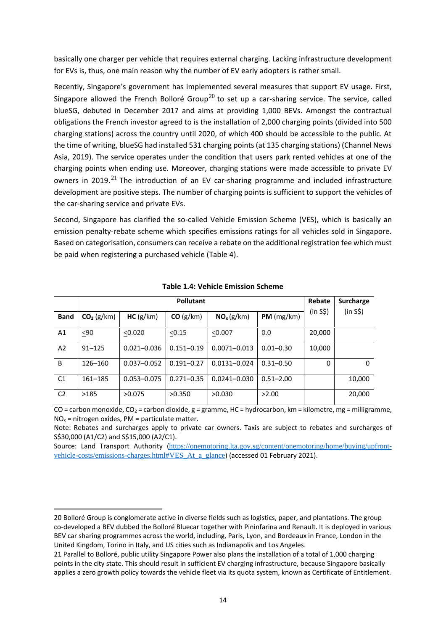basically one charger per vehicle that requires external charging. Lacking infrastructure development for EVs is, thus, one main reason why the number of EV early adopters is rather small.

Recently, Singapore's government has implemented several measures that support EV usage. First, Singapore allowed the French Bolloré Group<sup>20</sup> to set up a car-sharing service. The service, called blueSG, debuted in December 2017 and aims at providing 1,000 BEVs. Amongst the contractual obligations the French investor agreed to is the installation of 2,000 charging points (divided into 500 charging stations) across the country until 2020, of which 400 should be accessible to the public. At the time of writing, blueSG had installed 531 charging points (at 135 charging stations) (Channel News Asia, 2019). The service operates under the condition that users park rented vehicles at one of the charging points when ending use. Moreover, charging stations were made accessible to private EV owners in 2019.<sup>21</sup> The introduction of an EV car-sharing programme and included infrastructure development are positive steps. The number of charging points is sufficient to support the vehicles of the car-sharing service and private EVs.

Second, Singapore has clarified the so-called Vehicle Emission Scheme (VES), which is basically an emission penalty-rebate scheme which specifies emissions ratings for all vehicles sold in Singapore. Based on categorisation, consumers can receive a rebate on the additional registration fee which must be paid when registering a purchased vehicle (Table 4).

|                | <b>Pollutant</b>       |                 |                |                        | Rebate        | <b>Surcharge</b> |              |
|----------------|------------------------|-----------------|----------------|------------------------|---------------|------------------|--------------|
| <b>Band</b>    | CO <sub>2</sub> (g/km) | HC(g/km)        | CO (g/km)      | NO <sub>x</sub> (g/km) | PM(mg/km)     | (in S\$)         | (in S\$)     |
| A1             | $90$                   | < 0.020         | < 0.15         | < 0.007                | 0.0           | 20,000           |              |
| A2             | $91 - 125$             | $0.021 - 0.036$ | $0.151 - 0.19$ | $0.0071 - 0.013$       | $0.01 - 0.30$ | 10,000           |              |
| B <sub>1</sub> | 126-160                | $0.037 - 0.052$ | $0.191 - 0.27$ | $0.0131 - 0.024$       | $0.31 - 0.50$ | $\Omega$         | <sup>0</sup> |
| C <sub>1</sub> | $161 - 185$            | $0.053 - 0.075$ | $0.271 - 0.35$ | $0.0241 - 0.030$       | $0.51 - 2.00$ |                  | 10,000       |
| C <sub>2</sub> | >185                   | >0.075          | >0.350         | >0.030                 | >2.00         |                  | 20,000       |

**Table 1.4: Vehicle Emission Scheme**

CO = carbon monoxide, CO<sub>2</sub> = carbon dioxide,  $g =$  gramme, HC = hydrocarbon, km = kilometre, mg = milligramme,  $NO<sub>x</sub>$  = nitrogen oxides, PM = particulate matter.

Note: Rebates and surcharges apply to private car owners. Taxis are subject to rebates and surcharges of S\$30,000 (A1/C2) and S\$15,000 (A2/C1).

Source: Land Transport Authority ([https://onemotoring.lta.gov.sg/content/onemotoring/home/buying/upfront](https://onemotoring.lta.gov.sg/content/onemotoring/home/buying/upfront-vehicle-costs/emissions-charges.html#VES_At_a_glance)[vehicle-costs/emissions-charges.html#VES\\_At\\_a\\_glance](https://onemotoring.lta.gov.sg/content/onemotoring/home/buying/upfront-vehicle-costs/emissions-charges.html#VES_At_a_glance)) (accessed 01 February 2021).

<sup>20</sup> Bolloré Group is conglomerate active in diverse fields such as logistics, paper, and plantations. The group co-developed a BEV dubbed the Bolloré Bluecar together with Pininfarina and Renault. It is deployed in various BEV car sharing programmes across the world, including, Paris, Lyon, and Bordeaux in France, London in the United Kingdom, Torino in Italy, and US cities such as Indianapolis and Los Angeles.

<sup>21</sup> Parallel to Bolloré, public utility Singapore Power also plans the installation of a total of 1,000 charging points in the city state. This should result in sufficient EV charging infrastructure, because Singapore basically applies a zero growth policy towards the vehicle fleet via its quota system, known as Certificate of Entitlement.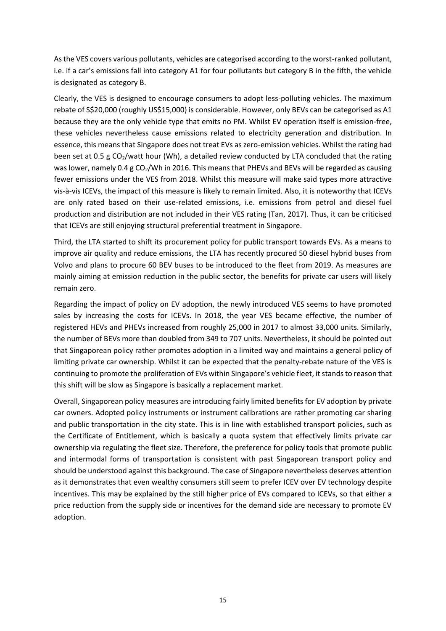As the VES covers various pollutants, vehicles are categorised according to the worst-ranked pollutant, i.e. if a car's emissions fall into category A1 for four pollutants but category B in the fifth, the vehicle is designated as category B.

Clearly, the VES is designed to encourage consumers to adopt less-polluting vehicles. The maximum rebate of S\$20,000 (roughly US\$15,000) is considerable. However, only BEVs can be categorised as A1 because they are the only vehicle type that emits no PM. Whilst EV operation itself is emission-free, these vehicles nevertheless cause emissions related to electricity generation and distribution. In essence, this means that Singapore does not treat EVs as zero-emission vehicles. Whilst the rating had been set at 0.5 g CO<sub>2</sub>/watt hour (Wh), a detailed review conducted by LTA concluded that the rating was lower, namely 0.4 g CO<sub>2</sub>/Wh in 2016. This means that PHEVs and BEVs will be regarded as causing fewer emissions under the VES from 2018. Whilst this measure will make said types more attractive vis-à-vis ICEVs, the impact of this measure is likely to remain limited. Also, it is noteworthy that ICEVs are only rated based on their use-related emissions, i.e. emissions from petrol and diesel fuel production and distribution are not included in their VES rating (Tan, 2017). Thus, it can be criticised that ICEVs are still enjoying structural preferential treatment in Singapore.

Third, the LTA started to shift its procurement policy for public transport towards EVs. As a means to improve air quality and reduce emissions, the LTA has recently procured 50 diesel hybrid buses from Volvo and plans to procure 60 BEV buses to be introduced to the fleet from 2019. As measures are mainly aiming at emission reduction in the public sector, the benefits for private car users will likely remain zero.

Regarding the impact of policy on EV adoption, the newly introduced VES seems to have promoted sales by increasing the costs for ICEVs. In 2018, the year VES became effective, the number of registered HEVs and PHEVs increased from roughly 25,000 in 2017 to almost 33,000 units. Similarly, the number of BEVs more than doubled from 349 to 707 units. Nevertheless, it should be pointed out that Singaporean policy rather promotes adoption in a limited way and maintains a general policy of limiting private car ownership. Whilst it can be expected that the penalty-rebate nature of the VES is continuing to promote the proliferation of EVs within Singapore's vehicle fleet, it stands to reason that this shift will be slow as Singapore is basically a replacement market.

Overall, Singaporean policy measures are introducing fairly limited benefits for EV adoption by private car owners. Adopted policy instruments or instrument calibrations are rather promoting car sharing and public transportation in the city state. This is in line with established transport policies, such as the Certificate of Entitlement, which is basically a quota system that effectively limits private car ownership via regulating the fleet size. Therefore, the preference for policy tools that promote public and intermodal forms of transportation is consistent with past Singaporean transport policy and should be understood against this background. The case of Singapore nevertheless deserves attention as it demonstrates that even wealthy consumers still seem to prefer ICEV over EV technology despite incentives. This may be explained by the still higher price of EVs compared to ICEVs, so that either a price reduction from the supply side or incentives for the demand side are necessary to promote EV adoption.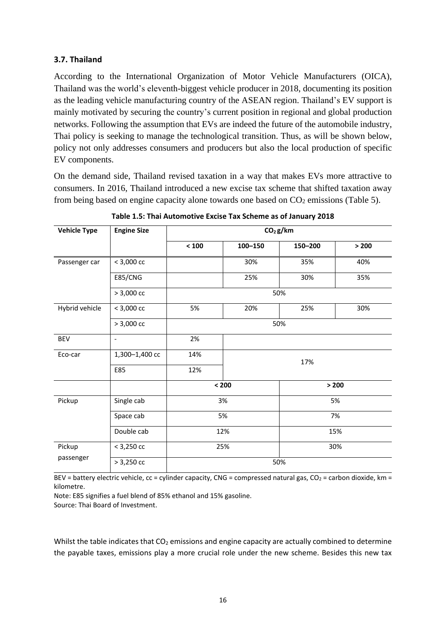#### **3.7. Thailand**

According to the International Organization of Motor Vehicle Manufacturers (OICA), Thailand was the world's eleventh-biggest vehicle producer in 2018, documenting its position as the leading vehicle manufacturing country of the ASEAN region. Thailand's EV support is mainly motivated by securing the country's current position in regional and global production networks. Following the assumption that EVs are indeed the future of the automobile industry, Thai policy is seeking to manage the technological transition. Thus, as will be shown below, policy not only addresses consumers and producers but also the local production of specific EV components.

On the demand side, Thailand revised taxation in a way that makes EVs more attractive to consumers. In 2016, Thailand introduced a new excise tax scheme that shifted taxation away from being based on engine capacity alone towards one based on  $CO<sub>2</sub>$  emissions (Table 5).

| <b>Vehicle Type</b> | <b>Engine Size</b>       | CO <sub>2</sub> g/km |             |         |       |  |
|---------------------|--------------------------|----------------------|-------------|---------|-------|--|
|                     |                          | $< 100$              | $100 - 150$ | 150-200 | > 200 |  |
| Passenger car       | $< 3,000$ cc             |                      | 30%         | 35%     | 40%   |  |
|                     | E85/CNG                  |                      | 25%         | 30%     | 35%   |  |
|                     | $> 3,000$ cc             |                      |             | 50%     |       |  |
| Hybrid vehicle      | $< 3,000$ cc             | 5%                   | 20%         | 25%     | 30%   |  |
|                     | $> 3,000$ cc             |                      | 50%         |         |       |  |
| <b>BEV</b>          | $\overline{\phantom{a}}$ | 2%                   |             |         |       |  |
| Eco-car             | 1,300-1,400 cc           | 14%                  |             | 17%     |       |  |
|                     | E85                      | 12%                  |             |         |       |  |
|                     |                          |                      | $< 200$     | > 200   |       |  |
| Pickup              | Single cab               | 3%                   |             |         | 5%    |  |
|                     | Space cab                | 5%                   |             | 7%      |       |  |
|                     | Double cab               | 12%                  |             | 15%     |       |  |
| Pickup              | $< 3,250$ cc             |                      | 25%         | 30%     |       |  |
| passenger           | $> 3,250$ cc             |                      | 50%         |         |       |  |

**Table 1.5: Thai Automotive Excise Tax Scheme as of January 2018**

BEV = battery electric vehicle,  $cc$  = cylinder capacity, CNG = compressed natural gas,  $CO_2$  = carbon dioxide, km = kilometre.

Note: E85 signifies a fuel blend of 85% ethanol and 15% gasoline.

Source: Thai Board of Investment.

Whilst the table indicates that  $CO<sub>2</sub>$  emissions and engine capacity are actually combined to determine the payable taxes, emissions play a more crucial role under the new scheme. Besides this new tax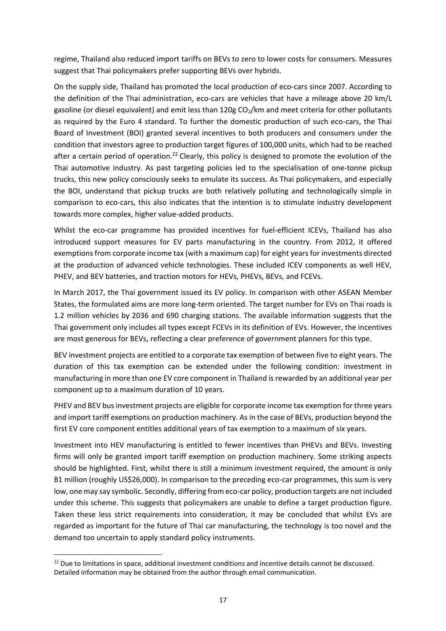regime, Thailand also reduced import tariffs on BEVs to zero to lower costs for consumers. Measures suggest that Thai policymakers prefer supporting BEVs over hybrids.

On the supply side, Thailand has promoted the local production of eco-cars since 2007. According to the definition of the Thai administration, eco-cars are vehicles that have a mileage above 20 km/L gasoline (or diesel equivalent) and emit less than 120g CO<sub>2</sub>/km and meet criteria for other pollutants as required by the Euro 4 standard. To further the domestic production of such eco-cars, the Thai Board of Investment (BOI) granted several incentives to both producers and consumers under the condition that investors agree to production target figures of 100,000 units, which had to be reached after a certain period of operation.<sup>22</sup> Clearly, this policy is designed to promote the evolution of the Thai automotive industry. As past targeting policies led to the specialisation of one-tonne pickup trucks, this new policy consciously seeks to emulate its success. As Thai policymakers, and especially the BOI, understand that pickup trucks are both relatively polluting and technologically simple in comparison to eco-cars, this also indicates that the intention is to stimulate industry development towards more complex, higher value-added products.

Whilst the eco-car programme has provided incentives for fuel-efficient ICEVs, Thailand has also introduced support measures for EV parts manufacturing in the country. From 2012, it offered exemptions from corporate income tax (with a maximum cap) for eight years for investments directed at the production of advanced vehicle technologies. These included ICEV components as well HEV, PHEV, and BEV batteries, and traction motors for HEVs, PHEVs, BEVs, and FCEVs.

In March 2017, the Thai government issued its EV policy. In comparison with other ASEAN Member States, the formulated aims are more long-term oriented. The target number for EVs on Thai roads is 1.2 million vehicles by 2036 and 690 charging stations. The available information suggests that the Thai government only includes all types except FCEVs in its definition of EVs. However, the incentives are most generous for BEVs, reflecting a clear preference of government planners for this type.

BEV investment projects are entitled to a corporate tax exemption of between five to eight years. The duration of this tax exemption can be extended under the following condition: investment in manufacturing in more than one EV core component in Thailand is rewarded by an additional year per component up to a maximum duration of 10 years.

PHEV and BEV bus investment projects are eligible for corporate income tax exemption for three years and import tariff exemptions on production machinery. As in the case of BEVs, production beyond the first EV core component entitles additional years of tax exemption to a maximum of six years.

Investment into HEV manufacturing is entitled to fewer incentives than PHEVs and BEVs. Investing firms will only be granted import tariff exemption on production machinery. Some striking aspects should be highlighted. First, whilst there is still a minimum investment required, the amount is only B1 million (roughly US\$26,000). In comparison to the preceding eco-car programmes, this sum is very low, one may say symbolic. Secondly, differing from eco-car policy, production targets are not included under this scheme. This suggests that policymakers are unable to define a target production figure. Taken these less strict requirements into consideration, it may be concluded that whilst EVs are regarded as important for the future of Thai car manufacturing, the technology is too novel and the demand too uncertain to apply standard policy instruments.

 $22$  Due to limitations in space, additional investment conditions and incentive details cannot be discussed. Detailed information may be obtained from the author through email communication.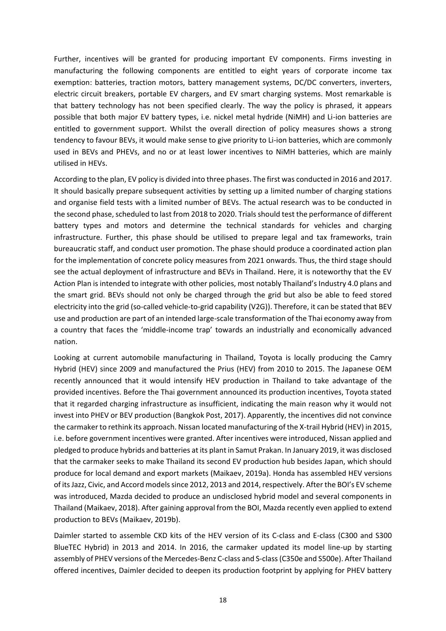Further, incentives will be granted for producing important EV components. Firms investing in manufacturing the following components are entitled to eight years of corporate income tax exemption: batteries, traction motors, battery management systems, DC/DC converters, inverters, electric circuit breakers, portable EV chargers, and EV smart charging systems. Most remarkable is that battery technology has not been specified clearly. The way the policy is phrased, it appears possible that both major EV battery types, i.e. nickel metal hydride (NiMH) and Li-ion batteries are entitled to government support. Whilst the overall direction of policy measures shows a strong tendency to favour BEVs, it would make sense to give priority to Li-ion batteries, which are commonly used in BEVs and PHEVs, and no or at least lower incentives to NiMH batteries, which are mainly utilised in HEVs.

According to the plan, EV policy is divided into three phases. The first was conducted in 2016 and 2017. It should basically prepare subsequent activities by setting up a limited number of charging stations and organise field tests with a limited number of BEVs. The actual research was to be conducted in the second phase, scheduled to last from 2018 to 2020. Trials should test the performance of different battery types and motors and determine the technical standards for vehicles and charging infrastructure. Further, this phase should be utilised to prepare legal and tax frameworks, train bureaucratic staff, and conduct user promotion. The phase should produce a coordinated action plan for the implementation of concrete policy measures from 2021 onwards. Thus, the third stage should see the actual deployment of infrastructure and BEVs in Thailand. Here, it is noteworthy that the EV Action Plan is intended to integrate with other policies, most notably Thailand's Industry 4.0 plans and the smart grid. BEVs should not only be charged through the grid but also be able to feed stored electricity into the grid (so-called vehicle-to-grid capability (V2G)). Therefore, it can be stated that BEV use and production are part of an intended large-scale transformation of the Thai economy away from a country that faces the 'middle-income trap' towards an industrially and economically advanced nation.

Looking at current automobile manufacturing in Thailand, Toyota is locally producing the Camry Hybrid (HEV) since 2009 and manufactured the Prius (HEV) from 2010 to 2015. The Japanese OEM recently announced that it would intensify HEV production in Thailand to take advantage of the provided incentives. Before the Thai government announced its production incentives, Toyota stated that it regarded charging infrastructure as insufficient, indicating the main reason why it would not invest into PHEV or BEV production (Bangkok Post, 2017). Apparently, the incentives did not convince the carmaker to rethink its approach. Nissan located manufacturing of the X-trail Hybrid (HEV) in 2015, i.e. before government incentives were granted. After incentives were introduced, Nissan applied and pledged to produce hybrids and batteries at its plant in Samut Prakan. In January 2019, it was disclosed that the carmaker seeks to make Thailand its second EV production hub besides Japan, which should produce for local demand and export markets (Maikaev, 2019a). Honda has assembled HEV versions of its Jazz, Civic, and Accord models since 2012, 2013 and 2014, respectively. After the BOI's EV scheme was introduced, Mazda decided to produce an undisclosed hybrid model and several components in Thailand (Maikaev, 2018). After gaining approval from the BOI, Mazda recently even applied to extend production to BEVs (Maikaev, 2019b).

Daimler started to assemble CKD kits of the HEV version of its C-class and E-class (C300 and S300 BlueTEC Hybrid) in 2013 and 2014. In 2016, the carmaker updated its model line-up by starting assembly of PHEV versions of the Mercedes-Benz C-class and S-class (C350e and S500e). After Thailand offered incentives, Daimler decided to deepen its production footprint by applying for PHEV battery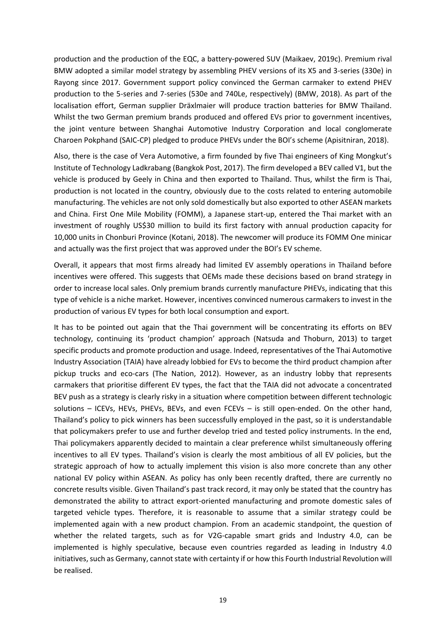production and the production of the EQC, a battery-powered SUV (Maikaev, 2019c). Premium rival BMW adopted a similar model strategy by assembling PHEV versions of its X5 and 3-series (330e) in Rayong since 2017. Government support policy convinced the German carmaker to extend PHEV production to the 5-series and 7-series (530e and 740Le, respectively) (BMW, 2018). As part of the localisation effort, German supplier Dräxlmaier will produce traction batteries for BMW Thailand. Whilst the two German premium brands produced and offered EVs prior to government incentives, the joint venture between Shanghai Automotive Industry Corporation and local conglomerate Charoen Pokphand (SAIC-CP) pledged to produce PHEVs under the BOI's scheme (Apisitniran, 2018).

Also, there is the case of Vera Automotive, a firm founded by five Thai engineers of King Mongkut's Institute of Technology Ladkrabang (Bangkok Post, 2017). The firm developed a BEV called V1, but the vehicle is produced by Geely in China and then exported to Thailand. Thus, whilst the firm is Thai, production is not located in the country, obviously due to the costs related to entering automobile manufacturing. The vehicles are not only sold domestically but also exported to other ASEAN markets and China. First One Mile Mobility (FOMM), a Japanese start-up, entered the Thai market with an investment of roughly US\$30 million to build its first factory with annual production capacity for 10,000 units in Chonburi Province (Kotani, 2018). The newcomer will produce its FOMM One minicar and actually was the first project that was approved under the BOI's EV scheme.

Overall, it appears that most firms already had limited EV assembly operations in Thailand before incentives were offered. This suggests that OEMs made these decisions based on brand strategy in order to increase local sales. Only premium brands currently manufacture PHEVs, indicating that this type of vehicle is a niche market. However, incentives convinced numerous carmakers to invest in the production of various EV types for both local consumption and export.

It has to be pointed out again that the Thai government will be concentrating its efforts on BEV technology, continuing its 'product champion' approach (Natsuda and Thoburn, 2013) to target specific products and promote production and usage. Indeed, representatives of the Thai Automotive Industry Association (TAIA) have already lobbied for EVs to become the third product champion after pickup trucks and eco-cars (The Nation, 2012). However, as an industry lobby that represents carmakers that prioritise different EV types, the fact that the TAIA did not advocate a concentrated BEV push as a strategy is clearly risky in a situation where competition between different technologic solutions – ICEVs, HEVs, PHEVs, BEVs, and even FCEVs – is still open-ended. On the other hand, Thailand's policy to pick winners has been successfully employed in the past, so it is understandable that policymakers prefer to use and further develop tried and tested policy instruments. In the end, Thai policymakers apparently decided to maintain a clear preference whilst simultaneously offering incentives to all EV types. Thailand's vision is clearly the most ambitious of all EV policies, but the strategic approach of how to actually implement this vision is also more concrete than any other national EV policy within ASEAN. As policy has only been recently drafted, there are currently no concrete results visible. Given Thailand's past track record, it may only be stated that the country has demonstrated the ability to attract export-oriented manufacturing and promote domestic sales of targeted vehicle types. Therefore, it is reasonable to assume that a similar strategy could be implemented again with a new product champion. From an academic standpoint, the question of whether the related targets, such as for V2G-capable smart grids and Industry 4.0, can be implemented is highly speculative, because even countries regarded as leading in Industry 4.0 initiatives, such as Germany, cannot state with certainty if or how this Fourth Industrial Revolution will be realised.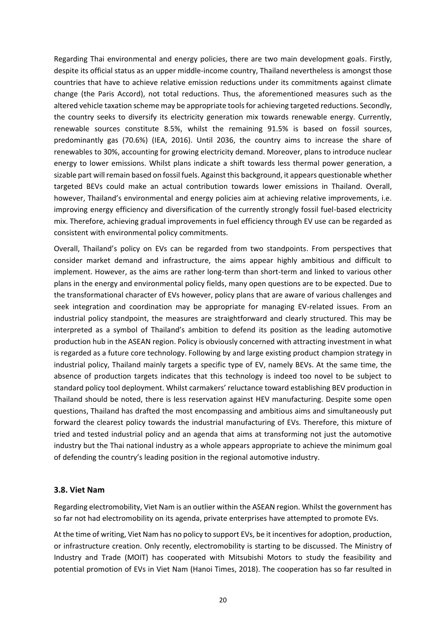Regarding Thai environmental and energy policies, there are two main development goals. Firstly, despite its official status as an upper middle-income country, Thailand nevertheless is amongst those countries that have to achieve relative emission reductions under its commitments against climate change (the Paris Accord), not total reductions. Thus, the aforementioned measures such as the altered vehicle taxation scheme may be appropriate tools for achieving targeted reductions. Secondly, the country seeks to diversify its electricity generation mix towards renewable energy. Currently, renewable sources constitute 8.5%, whilst the remaining 91.5% is based on fossil sources, predominantly gas (70.6%) (IEA, 2016). Until 2036, the country aims to increase the share of renewables to 30%, accounting for growing electricity demand. Moreover, plans to introduce nuclear energy to lower emissions. Whilst plans indicate a shift towards less thermal power generation, a sizable part will remain based on fossil fuels. Against this background, it appears questionable whether targeted BEVs could make an actual contribution towards lower emissions in Thailand. Overall, however, Thailand's environmental and energy policies aim at achieving relative improvements, i.e. improving energy efficiency and diversification of the currently strongly fossil fuel-based electricity mix. Therefore, achieving gradual improvements in fuel efficiency through EV use can be regarded as consistent with environmental policy commitments.

Overall, Thailand's policy on EVs can be regarded from two standpoints. From perspectives that consider market demand and infrastructure, the aims appear highly ambitious and difficult to implement. However, as the aims are rather long-term than short-term and linked to various other plans in the energy and environmental policy fields, many open questions are to be expected. Due to the transformational character of EVs however, policy plans that are aware of various challenges and seek integration and coordination may be appropriate for managing EV-related issues. From an industrial policy standpoint, the measures are straightforward and clearly structured. This may be interpreted as a symbol of Thailand's ambition to defend its position as the leading automotive production hub in the ASEAN region. Policy is obviously concerned with attracting investment in what is regarded as a future core technology. Following by and large existing product champion strategy in industrial policy, Thailand mainly targets a specific type of EV, namely BEVs. At the same time, the absence of production targets indicates that this technology is indeed too novel to be subject to standard policy tool deployment. Whilst carmakers' reluctance toward establishing BEV production in Thailand should be noted, there is less reservation against HEV manufacturing. Despite some open questions, Thailand has drafted the most encompassing and ambitious aims and simultaneously put forward the clearest policy towards the industrial manufacturing of EVs. Therefore, this mixture of tried and tested industrial policy and an agenda that aims at transforming not just the automotive industry but the Thai national industry as a whole appears appropriate to achieve the minimum goal of defending the country's leading position in the regional automotive industry.

#### **3.8. Viet Nam**

Regarding electromobility, Viet Nam is an outlier within the ASEAN region. Whilst the government has so far not had electromobility on its agenda, private enterprises have attempted to promote EVs.

At the time of writing, Viet Nam has no policy to support EVs, be it incentives for adoption, production, or infrastructure creation. Only recently, electromobility is starting to be discussed. The Ministry of Industry and Trade (MOIT) has cooperated with Mitsubishi Motors to study the feasibility and potential promotion of EVs in Viet Nam (Hanoi Times, 2018). The cooperation has so far resulted in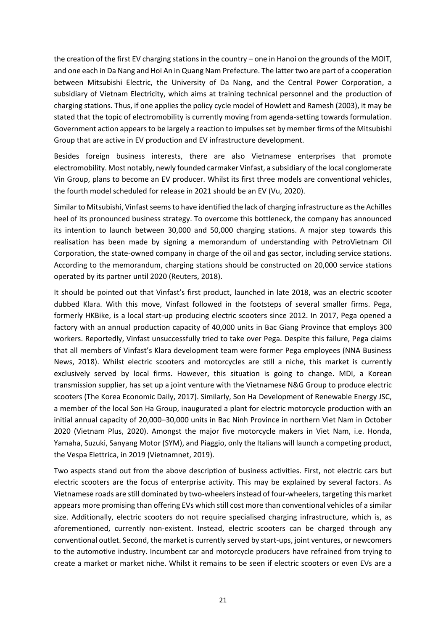the creation of the first EV charging stations in the country – one in Hanoi on the grounds of the MOIT, and one each in Da Nang and Hoi An in Quang Nam Prefecture. The latter two are part of a cooperation between Mitsubishi Electric, the University of Da Nang, and the Central Power Corporation, a subsidiary of Vietnam Electricity, which aims at training technical personnel and the production of charging stations. Thus, if one applies the policy cycle model of Howlett and Ramesh (2003), it may be stated that the topic of electromobility is currently moving from agenda-setting towards formulation. Government action appears to be largely a reaction to impulses set by member firms of the Mitsubishi Group that are active in EV production and EV infrastructure development.

Besides foreign business interests, there are also Vietnamese enterprises that promote electromobility. Most notably, newly founded carmaker Vinfast, a subsidiary of the local conglomerate Vin Group, plans to become an EV producer. Whilst its first three models are conventional vehicles, the fourth model scheduled for release in 2021 should be an EV (Vu, 2020).

Similar to Mitsubishi, Vinfast seems to have identified the lack of charging infrastructure as the Achilles heel of its pronounced business strategy. To overcome this bottleneck, the company has announced its intention to launch between 30,000 and 50,000 charging stations. A major step towards this realisation has been made by signing a memorandum of understanding with PetroVietnam Oil Corporation, the state-owned company in charge of the oil and gas sector, including service stations. According to the memorandum, charging stations should be constructed on 20,000 service stations operated by its partner until 2020 (Reuters, 2018).

It should be pointed out that Vinfast's first product, launched in late 2018, was an electric scooter dubbed Klara. With this move, Vinfast followed in the footsteps of several smaller firms. Pega, formerly HKBike, is a local start-up producing electric scooters since 2012. In 2017, Pega opened a factory with an annual production capacity of 40,000 units in Bac Giang Province that employs 300 workers. Reportedly, Vinfast unsuccessfully tried to take over Pega. Despite this failure, Pega claims that all members of Vinfast's Klara development team were former Pega employees (NNA Business News, 2018). Whilst electric scooters and motorcycles are still a niche, this market is currently exclusively served by local firms. However, this situation is going to change. MDI, a Korean transmission supplier, has set up a joint venture with the Vietnamese N&G Group to produce electric scooters (The Korea Economic Daily, 2017). Similarly, Son Ha Development of Renewable Energy JSC, a member of the local Son Ha Group, inaugurated a plant for electric motorcycle production with an initial annual capacity of 20,000–30,000 units in Bac Ninh Province in northern Viet Nam in October 2020 (Vietnam Plus, 2020). Amongst the major five motorcycle makers in Viet Nam, i.e. Honda, Yamaha, Suzuki, Sanyang Motor (SYM), and Piaggio, only the Italians will launch a competing product, the Vespa Elettrica, in 2019 (Vietnamnet, 2019).

Two aspects stand out from the above description of business activities. First, not electric cars but electric scooters are the focus of enterprise activity. This may be explained by several factors. As Vietnamese roads are still dominated by two-wheelers instead of four-wheelers, targeting this market appears more promising than offering EVs which still cost more than conventional vehicles of a similar size. Additionally, electric scooters do not require specialised charging infrastructure, which is, as aforementioned, currently non-existent. Instead, electric scooters can be charged through any conventional outlet. Second, the market is currently served by start-ups, joint ventures, or newcomers to the automotive industry. Incumbent car and motorcycle producers have refrained from trying to create a market or market niche. Whilst it remains to be seen if electric scooters or even EVs are a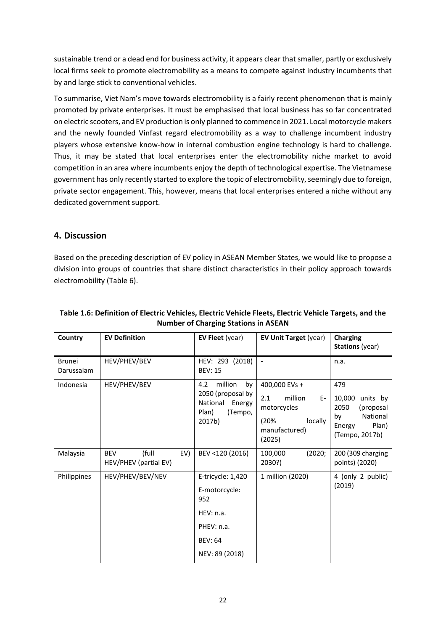sustainable trend or a dead end for business activity, it appears clear that smaller, partly or exclusively local firms seek to promote electromobility as a means to compete against industry incumbents that by and large stick to conventional vehicles.

To summarise, Viet Nam's move towards electromobility is a fairly recent phenomenon that is mainly promoted by private enterprises. It must be emphasised that local business has so far concentrated on electric scooters, and EV production is only planned to commence in 2021. Local motorcycle makers and the newly founded Vinfast regard electromobility as a way to challenge incumbent industry players whose extensive know-how in internal combustion engine technology is hard to challenge. Thus, it may be stated that local enterprises enter the electromobility niche market to avoid competition in an area where incumbents enjoy the depth of technological expertise. The Vietnamese government has only recently started to explore the topic of electromobility, seemingly due to foreign, private sector engagement. This, however, means that local enterprises entered a niche without any dedicated government support.

#### **4. Discussion**

Based on the preceding description of EV policy in ASEAN Member States, we would like to propose a division into groups of countries that share distinct characteristics in their policy approach towards electromobility (Table 6).

| Country                     | <b>EV Definition</b>                                | EV Fleet (year)                                                                                          | <b>EV Unit Target (year)</b>                                                                         | <b>Charging</b><br><b>Stations (year)</b>                                                             |
|-----------------------------|-----------------------------------------------------|----------------------------------------------------------------------------------------------------------|------------------------------------------------------------------------------------------------------|-------------------------------------------------------------------------------------------------------|
| <b>Brunei</b><br>Darussalam | HEV/PHEV/BEV                                        | HEV: 293 (2018)<br><b>BEV: 15</b>                                                                        | $\overline{\phantom{a}}$                                                                             | n.a.                                                                                                  |
| Indonesia                   | HEV/PHEV/BEV                                        | million<br>4.2<br>by<br>2050 (proposal by<br>National<br>Energy<br>Plan)<br>(Tempo,<br>2017b)            | 400,000 EVs +<br>million<br>2.1<br>$E-$<br>motorcycles<br>(20%<br>locally<br>manufactured)<br>(2025) | 479<br>units by<br>10,000<br>2050<br>(proposal<br>National<br>by<br>Plan)<br>Energy<br>(Tempo, 2017b) |
| Malaysia                    | (full<br>EV)<br><b>BEV</b><br>HEV/PHEV (partial EV) | BEV <120 (2016)                                                                                          | (2020;<br>100,000<br>2030?)                                                                          | 200 (309 charging<br>points) (2020)                                                                   |
| Philippines                 | HEV/PHEV/BEV/NEV                                    | E-tricycle: 1,420<br>E-motorcycle:<br>952<br>HEV: n.a.<br>PHEV: n.a.<br><b>BEV: 64</b><br>NEV: 89 (2018) | 1 million (2020)                                                                                     | 4 (only 2 public)<br>(2019)                                                                           |

#### **Table 1.6: Definition of Electric Vehicles, Electric Vehicle Fleets, Electric Vehicle Targets, and the Number of Charging Stations in ASEAN**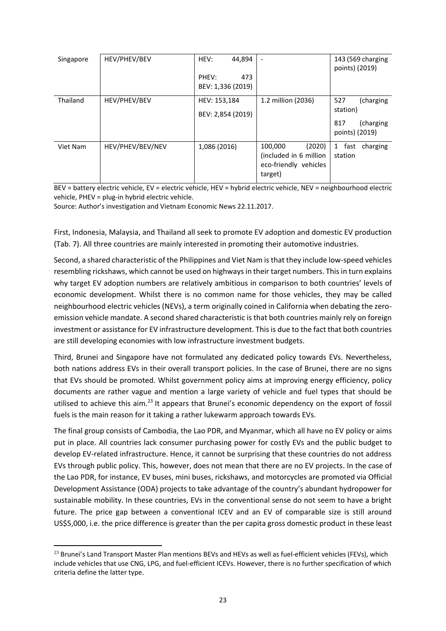| Singapore | HEV/PHEV/BEV     | 44,894<br>HEV:<br>PHEV:<br>473<br>BEV: 1,336 (2019) |                                                                                 | 143 (569 charging<br>points) (2019)                                |
|-----------|------------------|-----------------------------------------------------|---------------------------------------------------------------------------------|--------------------------------------------------------------------|
| Thailand  | HEV/PHEV/BEV     | HEV: 153,184<br>BEV: 2,854 (2019)                   | 1.2 million (2036)                                                              | 527<br>(charging<br>station)<br>(charging<br>817<br>points) (2019) |
| Viet Nam  | HEV/PHEV/BEV/NEV | 1,086 (2016)                                        | 100,000<br>(2020)<br>(included in 6 million<br>eco-friendly vehicles<br>target) | $\mathbf{1}$<br>charging<br>fast<br>station                        |

BEV = battery electric vehicle, EV = electric vehicle, HEV = hybrid electric vehicle, NEV = neighbourhood electric vehicle, PHEV = plug-in hybrid electric vehicle.

Source: Author's investigation and Vietnam Economic News 22.11.2017.

First, Indonesia, Malaysia, and Thailand all seek to promote EV adoption and domestic EV production (Tab. 7). All three countries are mainly interested in promoting their automotive industries.

Second, a shared characteristic of the Philippines and Viet Nam is that they include low-speed vehicles resembling rickshaws, which cannot be used on highways in their target numbers. This in turn explains why target EV adoption numbers are relatively ambitious in comparison to both countries' levels of economic development. Whilst there is no common name for those vehicles, they may be called neighbourhood electric vehicles (NEVs), a term originally coined in California when debating the zeroemission vehicle mandate. A second shared characteristic is that both countries mainly rely on foreign investment or assistance for EV infrastructure development. This is due to the fact that both countries are still developing economies with low infrastructure investment budgets.

Third, Brunei and Singapore have not formulated any dedicated policy towards EVs. Nevertheless, both nations address EVs in their overall transport policies. In the case of Brunei, there are no signs that EVs should be promoted. Whilst government policy aims at improving energy efficiency, policy documents are rather vague and mention a large variety of vehicle and fuel types that should be utilised to achieve this aim.<sup>23</sup> It appears that Brunei's economic dependency on the export of fossil fuels is the main reason for it taking a rather lukewarm approach towards EVs.

The final group consists of Cambodia, the Lao PDR, and Myanmar, which all have no EV policy or aims put in place. All countries lack consumer purchasing power for costly EVs and the public budget to develop EV-related infrastructure. Hence, it cannot be surprising that these countries do not address EVs through public policy. This, however, does not mean that there are no EV projects. In the case of the Lao PDR, for instance, EV buses, mini buses, rickshaws, and motorcycles are promoted via Official Development Assistance (ODA) projects to take advantage of the country's abundant hydropower for sustainable mobility. In these countries, EVs in the conventional sense do not seem to have a bright future. The price gap between a conventional ICEV and an EV of comparable size is still around US\$5,000, i.e. the price difference is greater than the per capita gross domestic product in these least

<sup>&</sup>lt;sup>23</sup> Brunei's Land Transport Master Plan mentions BEVs and HEVs as well as fuel-efficient vehicles (FEVs), which include vehicles that use CNG, LPG, and fuel-efficient ICEVs. However, there is no further specification of which criteria define the latter type.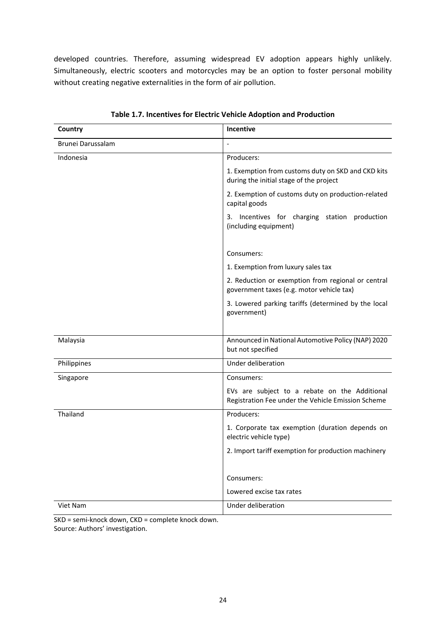developed countries. Therefore, assuming widespread EV adoption appears highly unlikely. Simultaneously, electric scooters and motorcycles may be an option to foster personal mobility without creating negative externalities in the form of air pollution.

| Country           | Incentive                                                                                           |  |  |
|-------------------|-----------------------------------------------------------------------------------------------------|--|--|
| Brunei Darussalam | $\overline{a}$                                                                                      |  |  |
| Indonesia         | Producers:                                                                                          |  |  |
|                   | 1. Exemption from customs duty on SKD and CKD kits<br>during the initial stage of the project       |  |  |
|                   | 2. Exemption of customs duty on production-related<br>capital goods                                 |  |  |
|                   | 3. Incentives for charging station production<br>(including equipment)                              |  |  |
|                   | Consumers:                                                                                          |  |  |
|                   | 1. Exemption from luxury sales tax                                                                  |  |  |
|                   | 2. Reduction or exemption from regional or central<br>government taxes (e.g. motor vehicle tax)     |  |  |
|                   | 3. Lowered parking tariffs (determined by the local<br>government)                                  |  |  |
| Malaysia          | Announced in National Automotive Policy (NAP) 2020<br>but not specified                             |  |  |
| Philippines       | Under deliberation                                                                                  |  |  |
| Singapore         | Consumers:                                                                                          |  |  |
|                   | EVs are subject to a rebate on the Additional<br>Registration Fee under the Vehicle Emission Scheme |  |  |
| Thailand          | Producers:                                                                                          |  |  |
|                   | 1. Corporate tax exemption (duration depends on<br>electric vehicle type)                           |  |  |
|                   | 2. Import tariff exemption for production machinery                                                 |  |  |
|                   | Consumers:                                                                                          |  |  |
|                   | Lowered excise tax rates                                                                            |  |  |
| Viet Nam          | Under deliberation                                                                                  |  |  |

|  |  | Table 1.7. Incentives for Electric Vehicle Adoption and Production |
|--|--|--------------------------------------------------------------------|
|  |  |                                                                    |

SKD = semi-knock down, CKD = complete knock down. Source: Authors' investigation.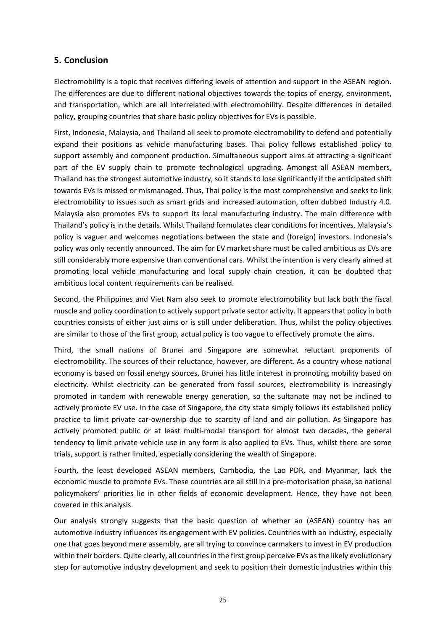#### **5. Conclusion**

Electromobility is a topic that receives differing levels of attention and support in the ASEAN region. The differences are due to different national objectives towards the topics of energy, environment, and transportation, which are all interrelated with electromobility. Despite differences in detailed policy, grouping countries that share basic policy objectives for EVs is possible.

First, Indonesia, Malaysia, and Thailand all seek to promote electromobility to defend and potentially expand their positions as vehicle manufacturing bases. Thai policy follows established policy to support assembly and component production. Simultaneous support aims at attracting a significant part of the EV supply chain to promote technological upgrading. Amongst all ASEAN members, Thailand has the strongest automotive industry, so it stands to lose significantly if the anticipated shift towards EVs is missed or mismanaged. Thus, Thai policy is the most comprehensive and seeks to link electromobility to issues such as smart grids and increased automation, often dubbed Industry 4.0. Malaysia also promotes EVs to support its local manufacturing industry. The main difference with Thailand's policy is in the details. Whilst Thailand formulates clear conditions for incentives, Malaysia's policy is vaguer and welcomes negotiations between the state and (foreign) investors. Indonesia's policy was only recently announced. The aim for EV market share must be called ambitious as EVs are still considerably more expensive than conventional cars. Whilst the intention is very clearly aimed at promoting local vehicle manufacturing and local supply chain creation, it can be doubted that ambitious local content requirements can be realised.

Second, the Philippines and Viet Nam also seek to promote electromobility but lack both the fiscal muscle and policy coordination to actively support private sector activity. It appears that policy in both countries consists of either just aims or is still under deliberation. Thus, whilst the policy objectives are similar to those of the first group, actual policy is too vague to effectively promote the aims.

Third, the small nations of Brunei and Singapore are somewhat reluctant proponents of electromobility. The sources of their reluctance, however, are different. As a country whose national economy is based on fossil energy sources, Brunei has little interest in promoting mobility based on electricity. Whilst electricity can be generated from fossil sources, electromobility is increasingly promoted in tandem with renewable energy generation, so the sultanate may not be inclined to actively promote EV use. In the case of Singapore, the city state simply follows its established policy practice to limit private car-ownership due to scarcity of land and air pollution. As Singapore has actively promoted public or at least multi-modal transport for almost two decades, the general tendency to limit private vehicle use in any form is also applied to EVs. Thus, whilst there are some trials, support is rather limited, especially considering the wealth of Singapore.

Fourth, the least developed ASEAN members, Cambodia, the Lao PDR, and Myanmar, lack the economic muscle to promote EVs. These countries are all still in a pre-motorisation phase, so national policymakers' priorities lie in other fields of economic development. Hence, they have not been covered in this analysis.

Our analysis strongly suggests that the basic question of whether an (ASEAN) country has an automotive industry influences its engagement with EV policies. Countries with an industry, especially one that goes beyond mere assembly, are all trying to convince carmakers to invest in EV production within their borders. Quite clearly, all countries in the first group perceive EVs as the likely evolutionary step for automotive industry development and seek to position their domestic industries within this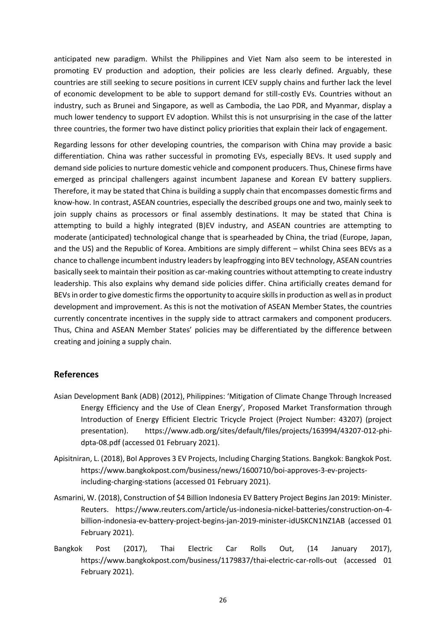anticipated new paradigm. Whilst the Philippines and Viet Nam also seem to be interested in promoting EV production and adoption, their policies are less clearly defined. Arguably, these countries are still seeking to secure positions in current ICEV supply chains and further lack the level of economic development to be able to support demand for still-costly EVs. Countries without an industry, such as Brunei and Singapore, as well as Cambodia, the Lao PDR, and Myanmar, display a much lower tendency to support EV adoption. Whilst this is not unsurprising in the case of the latter three countries, the former two have distinct policy priorities that explain their lack of engagement.

Regarding lessons for other developing countries, the comparison with China may provide a basic differentiation. China was rather successful in promoting EVs, especially BEVs. It used supply and demand side policies to nurture domestic vehicle and component producers. Thus, Chinese firms have emerged as principal challengers against incumbent Japanese and Korean EV battery suppliers. Therefore, it may be stated that China is building a supply chain that encompasses domestic firms and know-how. In contrast, ASEAN countries, especially the described groups one and two, mainly seek to join supply chains as processors or final assembly destinations. It may be stated that China is attempting to build a highly integrated (B)EV industry, and ASEAN countries are attempting to moderate (anticipated) technological change that is spearheaded by China, the triad (Europe, Japan, and the US) and the Republic of Korea. Ambitions are simply different – whilst China sees BEVs as a chance to challenge incumbent industry leaders by leapfrogging into BEV technology, ASEAN countries basically seek to maintain their position as car-making countries without attempting to create industry leadership. This also explains why demand side policies differ. China artificially creates demand for BEVs in order to give domestic firms the opportunity to acquire skills in production as well as in product development and improvement. As this is not the motivation of ASEAN Member States, the countries currently concentrate incentives in the supply side to attract carmakers and component producers. Thus, China and ASEAN Member States' policies may be differentiated by the difference between creating and joining a supply chain.

#### **References**

- Asian Development Bank (ADB) (2012), Philippines: 'Mitigation of Climate Change Through Increased Energy Efficiency and the Use of Clean Energy', Proposed Market Transformation through Introduction of Energy Efficient Electric Tricycle Project (Project Number: 43207) (project presentation). [https://www.adb.org/sites/default/files/projects/163994/43207-012-phi](https://www.adb.org/sites/default/files/projects/163994/43207-012-phi-dpta-08.pdf)[dpta-08.pdf](https://www.adb.org/sites/default/files/projects/163994/43207-012-phi-dpta-08.pdf) (accessed 01 February 2021).
- Apisitniran, L. (2018), BoI Approves 3 EV Projects, Including Charging Stations. Bangkok: Bangkok Post. [https://www.bangkokpost.com/business/news/1600710/boi-approves-3-ev-projects](https://www.bangkokpost.com/business/news/1600710/boi-approves-3-ev-projects-including-charging-stations)[including-charging-stations](https://www.bangkokpost.com/business/news/1600710/boi-approves-3-ev-projects-including-charging-stations) (accessed 01 February 2021).
- Asmarini, W. (2018), Construction of \$4 Billion Indonesia EV Battery Project Begins Jan 2019: Minister. Reuters. [https://www.reuters.com/article/us-indonesia-nickel-batteries/construction-on-4](https://www.reuters.com/article/us-indonesia-nickel-batteries/construction-on-4-billion-indonesia-ev-battery-project-begins-jan-2019-minister-idUSKCN1NZ1AB) [billion-indonesia-ev-battery-project-begins-jan-2019-minister-idUSKCN1NZ1AB](https://www.reuters.com/article/us-indonesia-nickel-batteries/construction-on-4-billion-indonesia-ev-battery-project-begins-jan-2019-minister-idUSKCN1NZ1AB) (accessed 01 February 2021).
- Bangkok Post (2017), Thai Electric Car Rolls Out, (14 January 2017), <https://www.bangkokpost.com/business/1179837/thai-electric-car-rolls-out> (accessed 01 February 2021).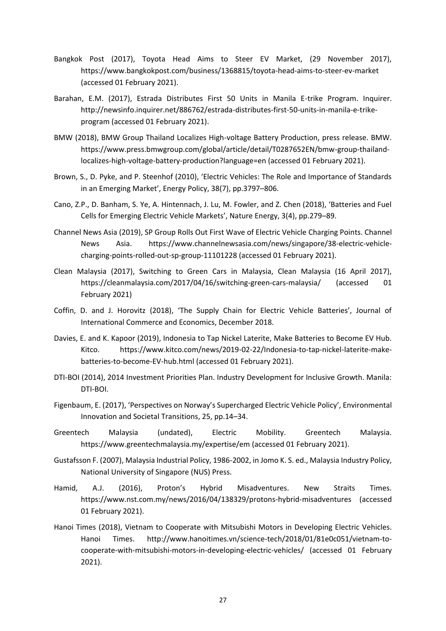- Bangkok Post (2017), Toyota Head Aims to Steer EV Market, (29 November 2017), <https://www.bangkokpost.com/business/1368815/toyota-head-aims-to-steer-ev-market> (accessed 01 February 2021).
- Barahan, E.M. (2017), Estrada Distributes First 50 Units in Manila E-trike Program. Inquirer. [http://newsinfo.inquirer.net/886762/estrada-distributes-first-50-units-in-manila-e-trike](http://newsinfo.inquirer.net/886762/estrada-distributes-first-50-units-in-manila-e-trike-program)[program](http://newsinfo.inquirer.net/886762/estrada-distributes-first-50-units-in-manila-e-trike-program) (accessed 01 February 2021).
- BMW (2018), BMW Group Thailand Localizes High-voltage Battery Production, press release. BMW. [https://www.press.bmwgroup.com/global/article/detail/T0287652EN/bmw-group-thailand](https://www.press.bmwgroup.com/global/article/detail/T0287652EN/bmw-group-thailand-localizes-high-voltage-battery-production?language=en)[localizes-high-voltage-battery-production?language=en](https://www.press.bmwgroup.com/global/article/detail/T0287652EN/bmw-group-thailand-localizes-high-voltage-battery-production?language=en) (accessed 01 February 2021).
- Brown, S., D. Pyke, and P. Steenhof (2010), 'Electric Vehicles: The Role and Importance of Standards in an Emerging Market', Energy Policy, 38(7), pp.3797–806.
- Cano, Z.P., D. Banham, S. Ye, A. Hintennach, J. Lu, M. Fowler, and Z. Chen (2018), 'Batteries and Fuel Cells for Emerging Electric Vehicle Markets', Nature Energy, 3(4), pp.279–89.
- Channel News Asia (2019), SP Group Rolls Out First Wave of Electric Vehicle Charging Points. Channel News Asia. [https://www.channelnewsasia.com/news/singapore/38-electric-vehicle](https://www.channelnewsasia.com/news/singapore/38-electric-vehicle-charging-points-rolled-out-sp-group-11101228)[charging-points-rolled-out-sp-group-11101228](https://www.channelnewsasia.com/news/singapore/38-electric-vehicle-charging-points-rolled-out-sp-group-11101228) (accessed 01 February 2021).
- Clean Malaysia (2017), Switching to Green Cars in Malaysia, Clean Malaysia (16 April 2017), <https://cleanmalaysia.com/2017/04/16/switching-green-cars-malaysia/> (accessed 01 February 2021)
- Coffin, D. and J. Horovitz (2018), 'The Supply Chain for Electric Vehicle Batteries', Journal of International Commerce and Economics, December 2018.
- Davies, E. and K. Kapoor (2019), Indonesia to Tap Nickel Laterite, Make Batteries to Become EV Hub. Kitco. [https://www.kitco.com/news/2019-02-22/Indonesia-to-tap-nickel-laterite-make](https://www.kitco.com/news/2019-02-22/Indonesia-to-tap-nickel-laterite-make-batteries-to-become-EV-hub.html)[batteries-to-become-EV-hub.html](https://www.kitco.com/news/2019-02-22/Indonesia-to-tap-nickel-laterite-make-batteries-to-become-EV-hub.html) (accessed 01 February 2021).
- DTI-BOI (2014), 2014 Investment Priorities Plan. Industry Development for Inclusive Growth. Manila: DTI-BOI.
- Figenbaum, E. (2017), 'Perspectives on Norway's Supercharged Electric Vehicle Policy', Environmental Innovation and Societal Transitions, 25, pp.14–34.
- Greentech Malaysia (undated), Electric Mobility. Greentech Malaysia. <https://www.greentechmalaysia.my/expertise/em> (accessed 01 February 2021).
- Gustafsson F. (2007), Malaysia Industrial Policy, 1986-2002, in Jomo K. S. ed., Malaysia Industry Policy, National University of Singapore (NUS) Press.
- Hamid, A.J. (2016), Proton's Hybrid Misadventures. New Straits Times. <https://www.nst.com.my/news/2016/04/138329/protons-hybrid-misadventures> (accessed 01 February 2021).
- Hanoi Times (2018), Vietnam to Cooperate with Mitsubishi Motors in Developing Electric Vehicles. Hanoi Times. [http://www.hanoitimes.vn/science-tech/2018/01/81e0c051/vietnam-to](http://www.hanoitimes.vn/science-tech/2018/01/81e0c051/vietnam-to-cooperate-with-mitsubishi-motors-in-developing-electric-vehicles/)[cooperate-with-mitsubishi-motors-in-developing-electric-vehicles/](http://www.hanoitimes.vn/science-tech/2018/01/81e0c051/vietnam-to-cooperate-with-mitsubishi-motors-in-developing-electric-vehicles/) (accessed 01 February 2021).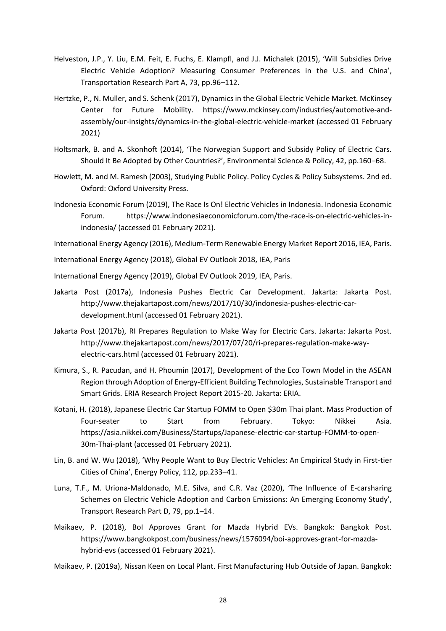- Helveston, J.P., Y. Liu, E.M. Feit, E. Fuchs, E. Klampfl, and J.J. Michalek (2015), 'Will Subsidies Drive Electric Vehicle Adoption? Measuring Consumer Preferences in the U.S. and China', Transportation Research Part A, 73, pp.96–112.
- Hertzke, P., N. Muller, and S. Schenk (2017), Dynamics in the Global Electric Vehicle Market. McKinsey Center for Future Mobility. [https://www.mckinsey.com/industries/automotive-and](https://www.mckinsey.com/industries/automotive-and-assembly/our-insights/dynamics-in-the-global-electric-vehicle-market)[assembly/our-insights/dynamics-in-the-global-electric-vehicle-market](https://www.mckinsey.com/industries/automotive-and-assembly/our-insights/dynamics-in-the-global-electric-vehicle-market) (accessed 01 February 2021)
- Holtsmark, B. and A. Skonhoft (2014), 'The Norwegian Support and Subsidy Policy of Electric Cars. Should It Be Adopted by Other Countries?', Environmental Science & Policy, 42, pp.160–68.
- Howlett, M. and M. Ramesh (2003), Studying Public Policy. Policy Cycles & Policy Subsystems. 2nd ed. Oxford: Oxford University Press.
- Indonesia Economic Forum (2019), The Race Is On! Electric Vehicles in Indonesia. Indonesia Economic Forum. [https://www.indonesiaeconomicforum.com/the-race-is-on-electric-vehicles-in](https://www.indonesiaeconomicforum.com/the-race-is-on-electric-vehicles-in-indonesia/)[indonesia/](https://www.indonesiaeconomicforum.com/the-race-is-on-electric-vehicles-in-indonesia/) (accessed 01 February 2021).

International Energy Agency (2016), Medium-Term Renewable Energy Market Report 2016, IEA, Paris.

- International Energy Agency (2018), Global EV Outlook 2018, IEA, Paris
- International Energy Agency (2019), Global EV Outlook 2019, IEA, Paris.
- Jakarta Post (2017a), Indonesia Pushes Electric Car Development. Jakarta: Jakarta Post. [http://www.thejakartapost.com/news/2017/10/30/indonesia-pushes-electric-car](http://www.thejakartapost.com/news/2017/10/30/indonesia-pushes-electric-car-development.html)[development.html](http://www.thejakartapost.com/news/2017/10/30/indonesia-pushes-electric-car-development.html) (accessed 01 February 2021).
- Jakarta Post (2017b), RI Prepares Regulation to Make Way for Electric Cars. Jakarta: Jakarta Post. [http://www.thejakartapost.com/news/2017/07/20/ri-prepares-regulation-make-way](http://www.thejakartapost.com/news/2017/07/20/ri-prepares-regulation-make-way-electric-cars.html)[electric-cars.html](http://www.thejakartapost.com/news/2017/07/20/ri-prepares-regulation-make-way-electric-cars.html) (accessed 01 February 2021).
- Kimura, S., R. Pacudan, and H. Phoumin (2017), Development of the Eco Town Model in the ASEAN Region through Adoption of Energy-Efficient Building Technologies, Sustainable Transport and Smart Grids. ERIA Research Project Report 2015-20. Jakarta: ERIA.
- Kotani, H. (2018), Japanese Electric Car Startup FOMM to Open \$30m Thai plant. Mass Production of Four-seater to Start from February. Tokyo: Nikkei Asia. [https://asia.nikkei.com/Business/Startups/Japanese-electric-car-startup-FOMM-to-open-](https://asia.nikkei.com/Business/Startups/Japanese-electric-car-startup-FOMM-to-open-30m-Thai-plant)[30m-Thai-plant](https://asia.nikkei.com/Business/Startups/Japanese-electric-car-startup-FOMM-to-open-30m-Thai-plant) (accessed 01 February 2021).
- Lin, B. and W. Wu (2018), 'Why People Want to Buy Electric Vehicles: An Empirical Study in First-tier Cities of China', Energy Policy, 112, pp.233–41.
- Luna, T.F., M. Uriona-Maldonado, M.E. Silva, and C.R. Vaz (2020), 'The Influence of E-carsharing Schemes on Electric Vehicle Adoption and Carbon Emissions: An Emerging Economy Study', Transport Research Part D, 79, pp.1–14.
- Maikaev, P. (2018), BoI Approves Grant for Mazda Hybrid EVs. Bangkok: Bangkok Post. [https://www.bangkokpost.com/business/news/1576094/boi-approves-grant-for-mazda](https://www.bangkokpost.com/business/news/1576094/boi-approves-grant-for-mazda-hybrid-evs)[hybrid-evs](https://www.bangkokpost.com/business/news/1576094/boi-approves-grant-for-mazda-hybrid-evs) (accessed 01 February 2021).
- Maikaev, P. (2019a), Nissan Keen on Local Plant. First Manufacturing Hub Outside of Japan. Bangkok: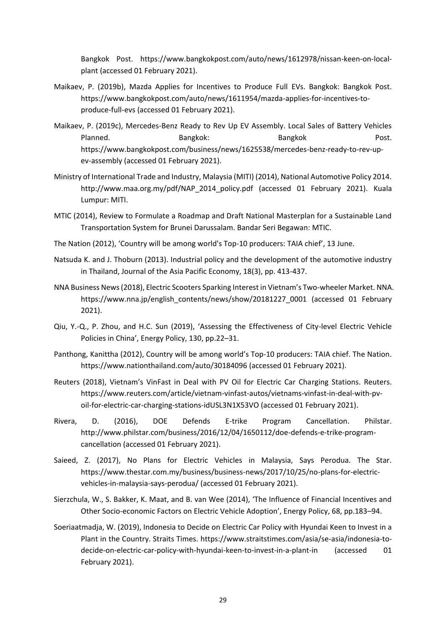Bangkok Post. [https://www.bangkokpost.com/auto/news/1612978/nissan-keen-on-local](https://www.bangkokpost.com/auto/news/1612978/nissan-keen-on-local-plant)[plant](https://www.bangkokpost.com/auto/news/1612978/nissan-keen-on-local-plant) (accessed 01 February 2021).

- Maikaev, P. (2019b), Mazda Applies for Incentives to Produce Full EVs. Bangkok: Bangkok Post. [https://www.bangkokpost.com/auto/news/1611954/mazda-applies-for-incentives-to](https://www.bangkokpost.com/auto/news/1611954/mazda-applies-for-incentives-to-produce-full-evs)[produce-full-evs](https://www.bangkokpost.com/auto/news/1611954/mazda-applies-for-incentives-to-produce-full-evs) (accessed 01 February 2021).
- Maikaev, P. (2019c), Mercedes-Benz Ready to Rev Up EV Assembly. Local Sales of Battery Vehicles Planned. **Bangkok:** Bangkok: Bangkok Post. [https://www.bangkokpost.com/business/news/1625538/mercedes-benz-ready-to-rev-up](https://www.bangkokpost.com/business/news/1625538/mercedes-benz-ready-to-rev-up-ev-assembly)[ev-assembly](https://www.bangkokpost.com/business/news/1625538/mercedes-benz-ready-to-rev-up-ev-assembly) (accessed 01 February 2021).
- Ministry of International Trade and Industry, Malaysia (MITI) (2014), National Automotive Policy 2014. [http://www.maa.org.my/pdf/NAP\\_2014\\_policy.pdf](http://www.maa.org.my/pdf/NAP_2014_policy.pdf) (accessed 01 February 2021). Kuala Lumpur: MITI.
- MTIC (2014), Review to Formulate a Roadmap and Draft National Masterplan for a Sustainable Land Transportation System for Brunei Darussalam. Bandar Seri Begawan: MTIC.
- The Nation (2012), 'Country will be among world's Top-10 producers: TAIA chief', 13 June.
- Natsuda K. and J. Thoburn (2013). Industrial policy and the development of the automotive industry in Thailand, Journal of the Asia Pacific Economy, 18(3), pp. 413-437.
- NNA Business News (2018), Electric Scooters Sparking Interest in Vietnam's Two-wheeler Market. NNA. [https://www.nna.jp/english\\_contents/news/show/20181227\\_0001](https://www.nna.jp/english_contents/news/show/20181227_0001) (accessed 01 February 2021).
- Qiu, Y.-Q., P. Zhou, and H.C. Sun (2019), 'Assessing the Effectiveness of City-level Electric Vehicle Policies in China', Energy Policy, 130, pp.22–31.
- Panthong, Kanittha (2012), Country will be among world's Top-10 producers: TAIA chief. The Nation. <https://www.nationthailand.com/auto/30184096> (accessed 01 February 2021).
- Reuters (2018), Vietnam's VinFast in Deal with PV Oil for Electric Car Charging Stations. Reuters. [https://www.reuters.com/article/vietnam-vinfast-autos/vietnams-vinfast-in-deal-with-pv](https://www.reuters.com/article/vietnam-vinfast-autos/vietnams-vinfast-in-deal-with-pv-oil-for-electric-car-charging-stations-idUSL3N1X53VO)[oil-for-electric-car-charging-stations-idUSL3N1X53VO](https://www.reuters.com/article/vietnam-vinfast-autos/vietnams-vinfast-in-deal-with-pv-oil-for-electric-car-charging-stations-idUSL3N1X53VO) (accessed 01 February 2021).
- Rivera, D. (2016), DOE Defends E-trike Program Cancellation. Philstar. [http://www.philstar.com/business/2016/12/04/1650112/doe-defends-e-trike-program](http://www.philstar.com/business/2016/12/04/1650112/doe-defends-e-trike-program-cancellation)[cancellation](http://www.philstar.com/business/2016/12/04/1650112/doe-defends-e-trike-program-cancellation) (accessed 01 February 2021).
- Saieed, Z. (2017), No Plans for Electric Vehicles in Malaysia, Says Perodua. The Star. [https://www.thestar.com.my/business/business-news/2017/10/25/no-plans-for-electric](https://www.thestar.com.my/business/business-news/2017/10/25/no-plans-for-electric-vehicles-in-malaysia-says-perodua/)[vehicles-in-malaysia-says-perodua/](https://www.thestar.com.my/business/business-news/2017/10/25/no-plans-for-electric-vehicles-in-malaysia-says-perodua/) (accessed 01 February 2021).
- Sierzchula, W., S. Bakker, K. Maat, and B. van Wee (2014), 'The Influence of Financial Incentives and Other Socio-economic Factors on Electric Vehicle Adoption', Energy Policy, 68, pp.183–94.
- Soeriaatmadja, W. (2019), Indonesia to Decide on Electric Car Policy with Hyundai Keen to Invest in a Plant in the Country. Straits Times. [https://www.straitstimes.com/asia/se-asia/indonesia-to](https://www.straitstimes.com/asia/se-asia/indonesia-to-decide-on-electric-car-policy-with-hyundai-keen-to-invest-in-a-plant-in)[decide-on-electric-car-policy-with-hyundai-keen-to-invest-in-a-plant-in](https://www.straitstimes.com/asia/se-asia/indonesia-to-decide-on-electric-car-policy-with-hyundai-keen-to-invest-in-a-plant-in) (accessed 01 February 2021).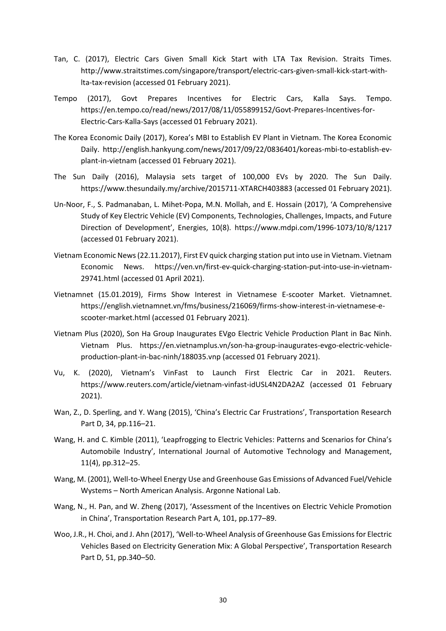- Tan, C. (2017), Electric Cars Given Small Kick Start with LTA Tax Revision. Straits Times. [http://www.straitstimes.com/singapore/transport/electric-cars-given-small-kick-start-with](http://www.straitstimes.com/singapore/transport/electric-cars-given-small-kick-start-with-lta-tax-revision)[lta-tax-revision](http://www.straitstimes.com/singapore/transport/electric-cars-given-small-kick-start-with-lta-tax-revision) (accessed 01 February 2021).
- Tempo (2017), Govt Prepares Incentives for Electric Cars, Kalla Says. Tempo. [https://en.tempo.co/read/news/2017/08/11/055899152/Govt-Prepares-Incentives-for-](https://en.tempo.co/read/news/2017/08/11/055899152/Govt-Prepares-Incentives-for-Electric-Cars-Kalla-Says)[Electric-Cars-Kalla-Says](https://en.tempo.co/read/news/2017/08/11/055899152/Govt-Prepares-Incentives-for-Electric-Cars-Kalla-Says) (accessed 01 February 2021).
- The Korea Economic Daily (2017), Korea's MBI to Establish EV Plant in Vietnam. The Korea Economic Daily. [http://english.hankyung.com/news/2017/09/22/0836401/koreas-mbi-to-establish-ev](http://english.hankyung.com/news/2017/09/22/0836401/koreas-mbi-to-establish-ev-plant-in-vietnam)[plant-in-vietnam](http://english.hankyung.com/news/2017/09/22/0836401/koreas-mbi-to-establish-ev-plant-in-vietnam) (accessed 01 February 2021).
- The Sun Daily (2016), Malaysia sets target of 100,000 EVs by 2020. The Sun Daily. <https://www.thesundaily.my/archive/2015711-XTARCH403883> (accessed 01 February 2021).
- Un-Noor, F., S. Padmanaban, L. Mihet-Popa, M.N. Mollah, and E. Hossain (2017), 'A Comprehensive Study of Key Electric Vehicle (EV) Components, Technologies, Challenges, Impacts, and Future Direction of Development', Energies, 10(8). <https://www.mdpi.com/1996-1073/10/8/1217> (accessed 01 February 2021).
- Vietnam Economic News (22.11.2017), First EV quick charging station put into use in Vietnam. Vietnam Economic News. [https://ven.vn/first-ev-quick-charging-station-put-into-use-in-vietnam-](https://ven.vn/first-ev-quick-charging-station-put-into-use-in-vietnam-29741.html)[29741.html](https://ven.vn/first-ev-quick-charging-station-put-into-use-in-vietnam-29741.html) (accessed 01 April 2021).
- Vietnamnet (15.01.2019), Firms Show Interest in Vietnamese E-scooter Market. Vietnamnet. [https://english.vietnamnet.vn/fms/business/216069/firms-show-interest-in-vietnamese-e](https://english.vietnamnet.vn/fms/business/216069/firms-show-interest-in-vietnamese-e-scooter-market.html)[scooter-market.html](https://english.vietnamnet.vn/fms/business/216069/firms-show-interest-in-vietnamese-e-scooter-market.html) (accessed 01 February 2021).
- Vietnam Plus (2020), Son Ha Group Inaugurates EVgo Electric Vehicle Production Plant in Bac Ninh. Vietnam Plus. [https://en.vietnamplus.vn/son-ha-group-inaugurates-evgo-electric-vehicle](https://en.vietnamplus.vn/son-ha-group-inaugurates-evgo-electric-vehicle-production-plant-in-bac-ninh/188035.vnp)[production-plant-in-bac-ninh/188035.vnp](https://en.vietnamplus.vn/son-ha-group-inaugurates-evgo-electric-vehicle-production-plant-in-bac-ninh/188035.vnp) (accessed 01 February 2021).
- Vu, K. (2020), Vietnam's VinFast to Launch First Electric Car in 2021. Reuters. <https://www.reuters.com/article/vietnam-vinfast-idUSL4N2DA2AZ> (accessed 01 February 2021).
- Wan, Z., D. Sperling, and Y. Wang (2015), 'China's Electric Car Frustrations', Transportation Research Part D, 34, pp.116–21.
- Wang, H. and C. Kimble (2011), 'Leapfrogging to Electric Vehicles: Patterns and Scenarios for China's Automobile Industry', International Journal of Automotive Technology and Management, 11(4), pp.312–25.
- Wang, M. (2001), Well-to-Wheel Energy Use and Greenhouse Gas Emissions of Advanced Fuel/Vehicle Wystems – North American Analysis. Argonne National Lab.
- Wang, N., H. Pan, and W. Zheng (2017), 'Assessment of the Incentives on Electric Vehicle Promotion in China', Transportation Research Part A, 101, pp.177–89.
- Woo, J.R., H. Choi, and J. Ahn (2017), 'Well-to-Wheel Analysis of Greenhouse Gas Emissions for Electric Vehicles Based on Electricity Generation Mix: A Global Perspective', Transportation Research Part D, 51, pp.340–50.